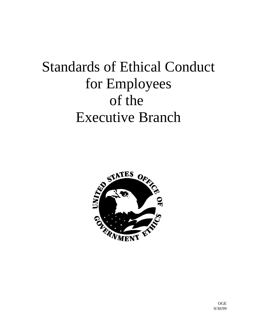# Standards of Ethical Conduct for Employees of the Executive Branch



**OGE** 9/30/99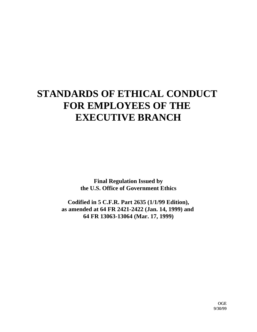# **STANDARDS OF ETHICAL CONDUCT FOR EMPLOYEES OF THE EXECUTIVE BRANCH**

**Final Regulation Issued by the U.S. Office of Government Ethics**

**Codified in 5 C.F.R. Part 2635 (1/1/99 Edition), as amended at 64 FR 2421-2422 (Jan. 14, 1999) and 64 FR 13063-13064 (Mar. 17, 1999)**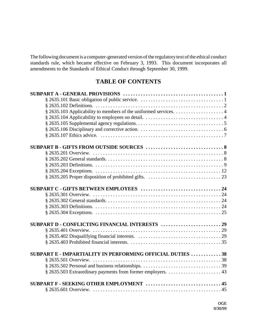The following document is a computer-generated version of the regulatory text of the ethical conduct standards rule, which became effective on February 3, 1993. This document incorporates all amendments to the Standards of Ethical Conduct through September 30, 1999.

# **TABLE OF CONTENTS**

| SUBPART D - CONFLICTING FINANCIAL INTERESTS  29                  |  |
|------------------------------------------------------------------|--|
|                                                                  |  |
|                                                                  |  |
|                                                                  |  |
| <b>SUBPART E - IMPARTIALITY IN PERFORMING OFFICIAL DUTIES 38</b> |  |
|                                                                  |  |
|                                                                  |  |
|                                                                  |  |
| SUBPART F - SEEKING OTHER EMPLOYMENT  45                         |  |
|                                                                  |  |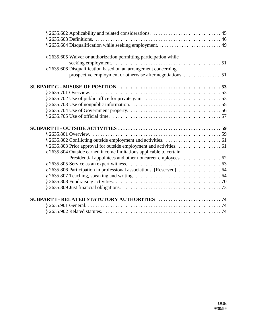| § 2635.605 Waiver or authorization permitting participation while     |
|-----------------------------------------------------------------------|
|                                                                       |
| § 2635.606 Disqualification based on an arrangement concerning        |
|                                                                       |
|                                                                       |
|                                                                       |
|                                                                       |
|                                                                       |
|                                                                       |
|                                                                       |
|                                                                       |
|                                                                       |
|                                                                       |
|                                                                       |
|                                                                       |
|                                                                       |
| § 2635.804 Outside earned income limitations applicable to certain    |
|                                                                       |
|                                                                       |
| § 2635.806 Participation in professional associations. [Reserved]  64 |
|                                                                       |
|                                                                       |
|                                                                       |
|                                                                       |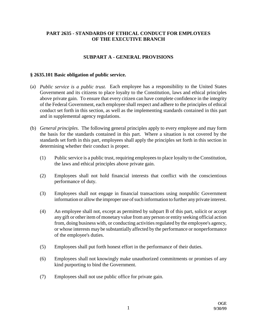# **PART 2635 - STANDARDS OF ETHICAL CONDUCT FOR EMPLOYEES OF THE EXECUTIVE BRANCH**

# **SUBPART A - GENERAL PROVISIONS**

#### **§ 2635.101 Basic obligation of public service.**

- (a) *Public service is a public trust*. Each employee has a responsibility to the United States Government and its citizens to place loyalty to the Constitution, laws and ethical principles above private gain. To ensure that every citizen can have complete confidence in the integrity of the Federal Government, each employee shall respect and adhere to the principles of ethical conduct set forth in this section, as well as the implementing standards contained in this part and in supplemental agency regulations.
- (b) *General principles*. The following general principles apply to every employee and may form the basis for the standards contained in this part. Where a situation is not covered by the standards set forth in this part, employees shall apply the principles set forth in this section in determining whether their conduct is proper.
	- (1) Public service is a public trust, requiring employees to place loyalty to the Constitution, the laws and ethical principles above private gain.
	- (2) Employees shall not hold financial interests that conflict with the conscientious performance of duty.
	- (3) Employees shall not engage in financial transactions using nonpublic Government information or allow the improper use of such information to further any private interest.
	- (4) An employee shall not, except as permitted by subpart B of this part, solicit or accept any gift or other item of monetary value from any person or entity seeking official action from, doing business with, or conducting activities regulated by the employee's agency, or whose interests may be substantially affected by the performance or nonperformance of the employee's duties.
	- (5) Employees shall put forth honest effort in the performance of their duties.
	- (6) Employees shall not knowingly make unauthorized commitments or promises of any kind purporting to bind the Government.
	- (7) Employees shall not use public office for private gain.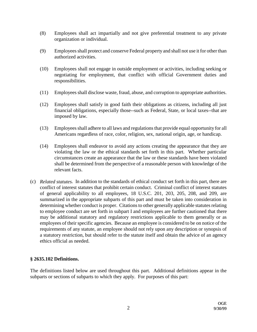- (8) Employees shall act impartially and not give preferential treatment to any private organization or individual.
- (9) Employees shall protect and conserve Federal property and shall not use it for other than authorized activities.
- (10) Employees shall not engage in outside employment or activities, including seeking or negotiating for employment, that conflict with official Government duties and responsibilities.
- (11) Employees shall disclose waste, fraud, abuse, and corruption to appropriate authorities.
- (12) Employees shall satisfy in good faith their obligations as citizens, including all just financial obligations, especially those--such as Federal, State, or local taxes--that are imposed by law.
- (13) Employees shall adhere to all laws and regulations that provide equal opportunity for all Americans regardless of race, color, religion, sex, national origin, age, or handicap.
- (14) Employees shall endeavor to avoid any actions creating the appearance that they are violating the law or the ethical standards set forth in this part. Whether particular circumstances create an appearance that the law or these standards have been violated shall be determined from the perspective of a reasonable person with knowledge of the relevant facts.
- (c) *Related statutes*. In addition to the standards of ethical conduct set forth in this part, there are conflict of interest statutes that prohibit certain conduct. Criminal conflict of interest statutes of general applicability to all employees, 18 U.S.C. 201, 203, 205, 208, and 209, are summarized in the appropriate subparts of this part and must be taken into consideration in determining whether conduct is proper. Citations to other generally applicable statutes relating to employee conduct are set forth in subpart I and employees are further cautioned that there may be additional statutory and regulatory restrictions applicable to them generally or as employees of their specific agencies. Because an employee is considered to be on notice of the requirements of any statute, an employee should not rely upon any description or synopsis of a statutory restriction, but should refer to the statute itself and obtain the advice of an agency ethics official as needed.

#### **§ 2635.102 Definitions.**

The definitions listed below are used throughout this part. Additional definitions appear in the subparts or sections of subparts to which they apply. For purposes of this part: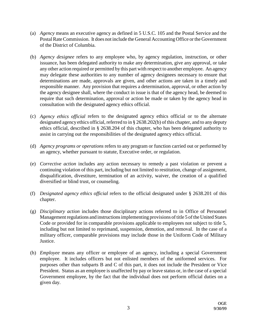- (a) *Agency* means an executive agency as defined in 5 U.S.C. 105 and the Postal Service and the Postal Rate Commission. It does not include the General Accounting Office or the Government of the District of Columbia.
- (b) *Agency designee* refers to any employee who, by agency regulation, instruction, or other issuance, has been delegated authority to make any determination, give any approval, or take any other action required or permitted by this part with respect to another employee. An agency may delegate these authorities to any number of agency designees necessary to ensure that determinations are made, approvals are given, and other actions are taken in a timely and responsible manner. Any provision that requires a determination, approval, or other action by the agency designee shall, where the conduct in issue is that of the agency head, be deemed to require that such determination, approval or action be made or taken by the agency head in consultation with the designated agency ethics official.
- (c) *Agency ethics official* refers to the designated agency ethics official or to the alternate designated agency ethics official, referred to in § 2638.202(b) of this chapter, and to any deputy ethics official, described in § 2638.204 of this chapter, who has been delegated authority to assist in carrying out the responsibilities of the designated agency ethics official.
- (d) *Agency programs or operations* refers to any program or function carried out or performed by an agency, whether pursuant to statute, Executive order, or regulation.
- (e) *Corrective action* includes any action necessary to remedy a past violation or prevent a continuing violation of this part, including but not limited to restitution, change of assignment, disqualification, divestiture, termination of an activity, waiver, the creation of a qualified diversified or blind trust, or counseling.
- (f) *Designated agency ethics official* refers to the official designated under § 2638.201 of this chapter.
- (g) *Disciplinary action* includes those disciplinary actions referred to in Office of Personnel Management regulations and instructions implementing provisions of title 5 of the United States Code or provided for in comparable provisions applicable to employees not subject to title 5, including but not limited to reprimand, suspension, demotion, and removal. In the case of a military officer, comparable provisions may include those in the Uniform Code of Military Justice.
- (h) *Employee* means any officer or employee of an agency, including a special Government employee. It includes officers but not enlisted members of the uniformed services. For purposes other than subparts B and C of this part, it does not include the President or Vice President. Status as an employee is unaffected by pay or leave status or, in the case of a special Government employee, by the fact that the individual does not perform official duties on a given day.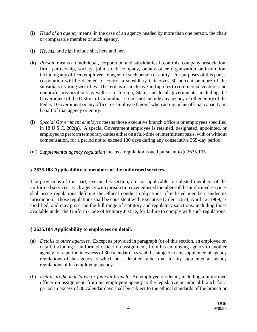- (i) *Head of an agency* means, in the case of an agency headed by more than one person, the chair or comparable member of such agency.
- (j) *He, his*, and *him* include she, hers and her.
- (k) *Person* means an individual, corporation and subsidiaries it controls, company, association, firm, partnership, society, joint stock company, or any other organization or institution, including any officer, employee, or agent of such person or entity. For purposes of this part, a corporation will be deemed to control a subsidiary if it owns 50 percent or more of the subsidiary's voting securities. The term is all-inclusive and applies to commercial ventures and nonprofit organizations as well as to foreign, State, and local governments, including the Government of the District of Columbia. It does not include any agency or other entity of the Federal Government or any officer or employee thereof when acting in his official capacity on behalf of that agency or entity.
- (l) *Special Government employee* means those executive branch officers or employees specified in 18 U.S.C. 202(a). A special Government employee is retained, designated, appointed, or employed to perform temporary duties either on a full-time or intermittent basis, with or without compensation, for a period not to exceed 130 days during any consecutive 365-day period.
- (m) *Supplemental agency regulation* means a regulation issued pursuant to § 2635.105.

# **§ 2635.103 Applicability to members of the uniformed services.**

The provisions of this part, except this section, are not applicable to enlisted members of the uniformed services. Each agency with jurisdiction over enlisted members of the uniformed services shall issue regulations defining the ethical conduct obligations of enlisted members under its jurisdiction. Those regulations shall be consistent with Executive Order 12674, April 12, 1989, as modified, and may prescribe the full range of statutory and regulatory sanctions, including those available under the Uniform Code of Military Justice, for failure to comply with such regulations.

# **§ 2635.104 Applicability to employees on detail.**

- (a) *Details to other agencies*. Except as provided in paragraph (d) of this section, an employee on detail, including a uniformed officer on assignment, from his employing agency to another agency for a period in excess of 30 calendar days shall be subject to any supplemental agency regulations of the agency to which he is detailed rather than to any supplemental agency regulations of his employing agency.
- (b) *Details to the legislative or judicial branch*. An employee on detail, including a uniformed officer on assignment, from his employing agency to the legislative or judicial branch for a period in excess of 30 calendar days shall be subject to the ethical standards of the branch or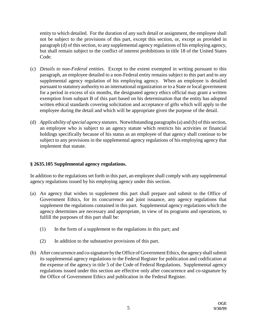entity to which detailed. For the duration of any such detail or assignment, the employee shall not be subject to the provisions of this part, except this section, or, except as provided in paragraph (d) of this section, to any supplemental agency regulations of his employing agency, but shall remain subject to the conflict of interest prohibitions in title 18 of the United States Code.

- (c) *Details to non-Federal entities*. Except to the extent exempted in writing pursuant to this paragraph, an employee detailed to a non-Federal entity remains subject to this part and to any supplemental agency regulation of his employing agency. When an employee is detailed pursuant to statutory authority to an international organization or to a State or local government for a period in excess of six months, the designated agency ethics official may grant a written exemption from subpart B of this part based on his determination that the entity has adopted written ethical standards covering solicitation and acceptance of gifts which will apply to the employee during the detail and which will be appropriate given the purpose of the detail.
- (d) *Applicability of special agency statutes*. Notwithstanding paragraphs (a) and (b) of this section, an employee who is subject to an agency statute which restricts his activities or financial holdings specifically because of his status as an employee of that agency shall continue to be subject to any provisions in the supplemental agency regulations of his employing agency that implement that statute.

# **§ 2635.105 Supplemental agency regulations.**

In addition to the regulations set forth in this part, an employee shall comply with any supplemental agency regulations issued by his employing agency under this section.

- (a) An agency that wishes to supplement this part shall prepare and submit to the Office of Government Ethics, for its concurrence and joint issuance, any agency regulations that supplement the regulations contained in this part. Supplemental agency regulations which the agency determines are necessary and appropriate, in view of its programs and operations, to fulfill the purposes of this part shall be:
	- (1) In the form of a supplement to the regulations in this part; and
	- (2) In addition to the substantive provisions of this part.
- (b) After concurrence and co-signature by the Office of Government Ethics, the agency shall submit its supplemental agency regulations to the Federal Register for publication and codification at the expense of the agency in title 5 of the Code of Federal Regulations. Supplemental agency regulations issued under this section are effective only after concurrence and co-signature by the Office of Government Ethics and publication in the Federal Register.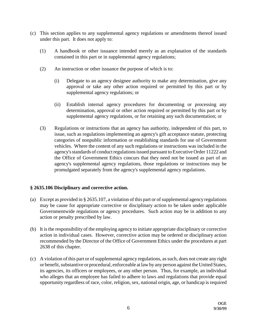- (c) This section applies to any supplemental agency regulations or amendments thereof issued under this part. It does not apply to:
	- (1) A handbook or other issuance intended merely as an explanation of the standards contained in this part or in supplemental agency regulations;
	- (2) An instruction or other issuance the purpose of which is to:
		- (i) Delegate to an agency designee authority to make any determination, give any approval or take any other action required or permitted by this part or by supplemental agency regulations; or
		- (ii) Establish internal agency procedures for documenting or processing any determination, approval or other action required or permitted by this part or by supplemental agency regulations, or for retaining any such documentation; or
	- (3) Regulations or instructions that an agency has authority, independent of this part, to issue, such as regulations implementing an agency's gift acceptance statute, protecting categories of nonpublic information or establishing standards for use of Government vehicles. Where the content of any such regulations or instructions was included in the agency's standards of conduct regulations issued pursuant to Executive Order 11222 and the Office of Government Ethics concurs that they need not be issued as part of an agency's supplemental agency regulations, those regulations or instructions may be promulgated separately from the agency's supplemental agency regulations.

# **§ 2635.106 Disciplinary and corrective action.**

- (a) Except as provided in § 2635.107, a violation of this part or of supplemental agency regulations may be cause for appropriate corrective or disciplinary action to be taken under applicable Governmentwide regulations or agency procedures. Such action may be in addition to any action or penalty prescribed by law.
- (b) It is the responsibility of the employing agency to initiate appropriate disciplinary or corrective action in individual cases. However, corrective action may be ordered or disciplinary action recommended by the Director of the Office of Government Ethics under the procedures at part 2638 of this chapter.
- (c) A violation of this part or of supplemental agency regulations, as such, does not create any right or benefit, substantive or procedural, enforceable at law by any person against the United States, its agencies, its officers or employees, or any other person. Thus, for example, an individual who alleges that an employee has failed to adhere to laws and regulations that provide equal opportunity regardless of race, color, religion, sex, national origin, age, or handicap is required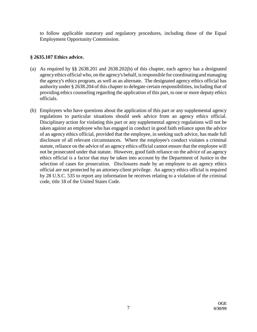to follow applicable statutory and regulatory procedures, including those of the Equal Employment Opportunity Commission.

# **§ 2635.107 Ethics advice.**

- (a) As required by §§ 2638.201 and 2638.202(b) of this chapter, each agency has a designated agency ethics official who, on the agency's behalf, is responsible for coordinating and managing the agency's ethics program, as well as an alternate. The designated agency ethics official has authority under § 2638.204 of this chapter to delegate certain responsibilities, including that of providing ethics counseling regarding the application of this part, to one or more deputy ethics officials.
- (b) Employees who have questions about the application of this part or any supplemental agency regulations to particular situations should seek advice from an agency ethics official. Disciplinary action for violating this part or any supplemental agency regulations will not be taken against an employee who has engaged in conduct in good faith reliance upon the advice of an agency ethics official, provided that the employee, in seeking such advice, has made full disclosure of all relevant circumstances. Where the employee's conduct violates a criminal statute, reliance on the advice of an agency ethics official cannot ensure that the employee will not be prosecuted under that statute. However, good faith reliance on the advice of an agency ethics official is a factor that may be taken into account by the Department of Justice in the selection of cases for prosecution. Disclosures made by an employee to an agency ethics official are not protected by an attorney-client privilege. An agency ethics official is required by 28 U.S.C. 535 to report any information he receives relating to a violation of the criminal code, title 18 of the United States Code.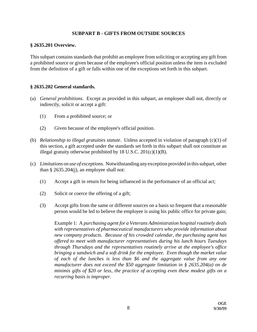# **SUBPART B - GIFTS FROM OUTSIDE SOURCES**

#### **§ 2635.201 Overview.**

This subpart contains standards that prohibit an employee from soliciting or accepting any gift from a prohibited source or given because of the employee's official position unless the item is excluded from the definition of a gift or falls within one of the exceptions set forth in this subpart.

#### **§ 2635.202 General standards.**

- (a) *General prohibitions*. Except as provided in this subpart, an employee shall not, directly or indirectly, solicit or accept a gift:
	- (1) From a prohibited source; or
	- (2) Given because of the employee's official position.
- (b) *Relationship to illegal gratuities statute*. Unless accepted in violation of paragraph (c)(1) of this section, a gift accepted under the standards set forth in this subpart shall not constitute an illegal gratuity otherwise prohibited by 18 U.S.C.  $201(c)(1)(B)$ .
- (c) *Limitations on use of exceptions*. Notwithstanding any exception provided in this subpart, other than  $\S 2635.204(i)$ , an employee shall not:
	- (1) Accept a gift in return for being influenced in the performance of an official act;
	- (2) Solicit or coerce the offering of a gift;
	- (3) Accept gifts from the same or different sources on a basis so frequent that a reasonable person would be led to believe the employee is using his public office for private gain;

Example 1: A *purchasing agent for a Veterans Administration hospital routinely deals with representatives of pharmaceutical manufacturers who provide information about new company products. Because of his crowded calendar, the purchasing agent has offered to meet with manufacturer representatives during his lunch hours Tuesdays through Thursdays and the representatives routinely arrive at the employee's office bringing a sandwich and a soft drink for the employee. Even though the market value of each of the lunches is less than \$6 and the aggregate value from any one manufacturer does not exceed the \$50 aggregate limitation in § 2635.204(a) on de minimis gifts of \$20 or less, the practice of accepting even these modest gifts on a recurring basis is improper*.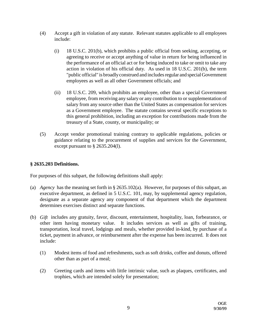- (4) Accept a gift in violation of any statute. Relevant statutes applicable to all employees include:
	- (i) 18 U.S.C. 201(b), which prohibits a public official from seeking, accepting, or agreeing to receive or accept anything of value in return for being influenced in the performance of an official act or for being induced to take or omit to take any action in violation of his official duty. As used in 18 U.S.C. 201(b), the term "public official" is broadly construed and includes regular and special Government employees as well as all other Government officials; and
	- (ii) 18 U.S.C. 209, which prohibits an employee, other than a special Government employee, from receiving any salary or any contribution to or supplementation of salary from any source other than the United States as compensation for services as a Government employee. The statute contains several specific exceptions to this general prohibition, including an exception for contributions made from the treasury of a State, county, or municipality; or
- (5) Accept vendor promotional training contrary to applicable regulations, policies or guidance relating to the procurement of supplies and services for the Government, except pursuant to § 2635.204(l).

# **§ 2635.203 Definitions.**

For purposes of this subpart, the following definitions shall apply:

- (a) *Agency* has the meaning set forth in § 2635.102(a). However, for purposes of this subpart, an executive department, as defined in 5 U.S.C. 101, may, by supplemental agency regulation, designate as a separate agency any component of that department which the department determines exercises distinct and separate functions.
- (b) *Gift* includes any gratuity, favor, discount, entertainment, hospitality, loan, forbearance, or other item having monetary value. It includes services as well as gifts of training, transportation, local travel, lodgings and meals, whether provided in-kind, by purchase of a ticket, payment in advance, or reimbursement after the expense has been incurred. It does not include:
	- (1) Modest items of food and refreshments, such as soft drinks, coffee and donuts, offered other than as part of a meal;
	- (2) Greeting cards and items with little intrinsic value, such as plaques, certificates, and trophies, which are intended solely for presentation;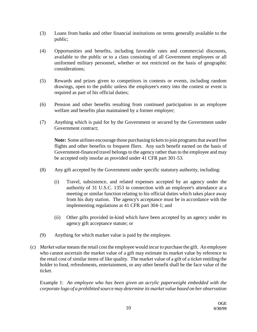- (3) Loans from banks and other financial institutions on terms generally available to the public;
- (4) Opportunities and benefits, including favorable rates and commercial discounts, available to the public or to a class consisting of all Government employees or all uniformed military personnel, whether or not restricted on the basis of geographic considerations;
- (5) Rewards and prizes given to competitors in contests or events, including random drawings, open to the public unless the employee's entry into the contest or event is required as part of his official duties;
- (6) Pension and other benefits resulting from continued participation in an employee welfare and benefits plan maintained by a former employer;
- (7) Anything which is paid for by the Government or secured by the Government under Government contract;

**Note:** Some airlines encourage those purchasing tickets to join programs that award free flights and other benefits to frequent fliers. Any such benefit earned on the basis of Government-financed travel belongs to the agency rather than to the employee and may be accepted only insofar as provided under 41 CFR part 301-53.

- (8) Any gift accepted by the Government under specific statutory authority, including:
	- (i) Travel, subsistence, and related expenses accepted by an agency under the authority of 31 U.S.C. 1353 in connection with an employee's attendance at a meeting or similar function relating to his official duties which takes place away from his duty station. The agency's acceptance must be in accordance with the implementing regulations at 41 CFR part 304-1; and
	- (ii) Other gifts provided in-kind which have been accepted by an agency under its agency gift acceptance statute; or
- (9) Anything for which market value is paid by the employee.
- (c) *Market value* means the retail cost the employee would incur to purchase the gift. An employee who cannot ascertain the market value of a gift may estimate its market value by reference to the retail cost of similar items of like quality. The market value of a gift of a ticket entitling the holder to food, refreshments, entertainment, or any other benefit shall be the face value of the ticket.

Example 1: *An employee who has been given an acrylic paperweight embedded with the corporate logo of a prohibited source may determine its market value based on her observation*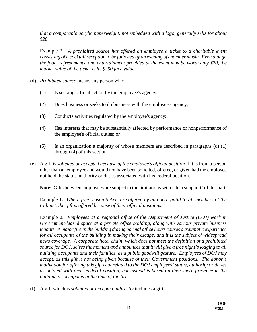*that a comparable acrylic paperweight, not embedded with a logo, generally sells for about \$20.* 

Example 2: *A prohibited source has offered an employee a ticket to a charitable event consisting of a cocktail reception to be followed by an evening of chamber music. Even though the food, refreshments, and entertainment provided at the event may be worth only \$20, the market value of the ticket is its \$250 face value.*

- (d) *Prohibited source* means any person who:
	- (1) Is seeking official action by the employee's agency;
	- (2) Does business or seeks to do business with the employee's agency;
	- (3) Conducts activities regulated by the employee's agency;
	- (4) Has interests that may be substantially affected by performance or nonperformance of the employee's official duties; or
	- (5) Is an organization a majority of whose members are described in paragraphs (d) (1) through (4) of this section.
- (e) A gift is *solicited or accepted because of the employee's official position* if it is from a person other than an employee and would not have been solicited, offered, or given had the employee not held the status, authority or duties associated with his Federal position.

**Note:** Gifts between employees are subject to the limitations set forth in subpart C of this part.

Example 1: *Where free season tickets are offered by an opera guild to all members of the Cabinet, the gift is offered because of their official positions.* 

Example 2. *Employees at a regional office of the Department of Justice (DOJ) work in Government-leased space at a private office building, along with various private business tenants. A major fire in the building during normal office hours causes a traumatic experience for all occupants of the building in making their escape, and it is the subject of widespread news coverage. A corporate hotel chain, which does not meet the definition of a prohibited source for DOJ, seizes the moment and announces that it will give a free night's lodging to all building occupants and their families, as a public goodwill gesture. Employees of DOJ may accept, as this gift is not being given because of their Government positions. The donor's motivation for offering this gift is unrelated to the DOJ employees' status, authority or duties associated with their Federal position, but instead is based on their mere presence in the building as occupants at the time of the fire.*

(f) A gift which is *solicited or accepted indirectly* includes a gift: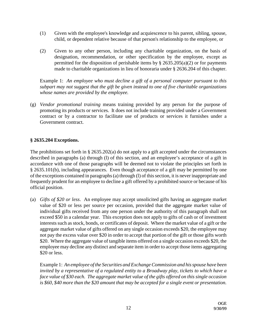- (1) Given with the employee's knowledge and acquiescence to his parent, sibling, spouse, child, or dependent relative because of that person's relationship to the employee, or
- (2) Given to any other person, including any charitable organization, on the basis of designation, recommendation, or other specification by the employee, except as permitted for the disposition of perishable items by § 2635.205(a)(2) or for payments made to charitable organizations in lieu of honoraria under § 2636.204 of this chapter.

Example 1: *An employee who must decline a gift of a personal computer pursuant to this subpart may not suggest that the gift be given instead to one of five charitable organizations whose names are provided by the employee.* 

(g) *Vendor promotional training* means training provided by any person for the purpose of promoting its products or services. It does not include training provided under a Government contract or by a contractor to facilitate use of products or services it furnishes under a Government contract.

# **§ 2635.204 Exceptions.**

The prohibitions set forth in § 2635.202(a) do not apply to a gift accepted under the circumstances described in paragraphs (a) through (l) of this section, and an employee's acceptance of a gift in accordance with one of those paragraphs will be deemed not to violate the principles set forth in § 2635.101(b), including appearances. Even though acceptance of a gift may be permitted by one of the exceptions contained in paragraphs (a) through (l) of this section, it is never inappropriate and frequently prudent for an employee to decline a gift offered by a prohibited source or because of his official position.

(a) *Gifts of \$20 or less*. An employee may accept unsolicited gifts having an aggregate market value of \$20 or less per source per occasion, provided that the aggregate market value of individual gifts received from any one person under the authority of this paragraph shall not exceed \$50 in a calendar year. This exception does not apply to gifts of cash or of investment interests such as stock, bonds, or certificates of deposit. Where the market value of a gift or the aggregate market value of gifts offered on any single occasion exceeds \$20, the employee may not pay the excess value over \$20 in order to accept that portion of the gift or those gifts worth \$20. Where the aggregate value of tangible items offered on a single occasion exceeds \$20, the employee may decline any distinct and separate item in order to accept those items aggregating \$20 or less.

Example 1: *An employee of the Securities and Exchange Commission and his spouse have been invited by a representative of a regulated entity to a Broadway play, tickets to which have a face value of \$30 each. The aggregate market value of the gifts offered on this single occasion is \$60, \$40 more than the \$20 amount that may be accepted for a single event or presentation.*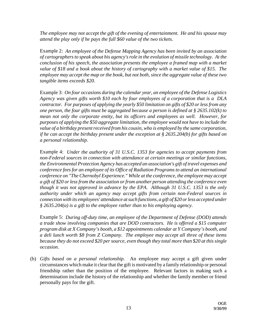*The employee may not accept the gift of the evening of entertainment. He and his spouse may attend the play only if he pays the full \$60 value of the two tickets.* 

Example 2: *An employee of the Defense Mapping Agency has been invited by an association of cartographers to speak about his agency's role in the evolution of missile technology. At the conclusion of his speech, the association presents the employee a framed map with a market value of \$18 and a book about the history of cartography with a market value of \$15. The employee may accept the map or the book, but not both, since the aggregate value of these two tangible items exceeds \$20.* 

Example 3: *On four occasions during the calendar year, an employee of the Defense Logistics Agency was given gifts worth \$10 each by four employees of a corporation that is a DLA contractor. For purposes of applying the yearly \$50 limitation on gifts of \$20 or less from any one person, the four gifts must be aggregated because a person is defined at § 2635.102(k) to mean not only the corporate entity, but its officers and employees as well. However, for purposes of applying the \$50 aggregate limitation, the employee would not have to include the value of a birthday present received from his cousin, who is employed by the same corporation, if he can accept the birthday present under the exception at § 2635.204(b) for gifts based on a personal relationship.* 

Example 4: *Under the authority of 31 U.S.C. 1353 for agencies to accept payments from non-Federal sources in connection with attendance at certain meetings or similar functions, the Environmental Protection Agency has accepted an association's gift of travel expenses and conference fees for an employee of its Office of Radiation Programs to attend an international conference on "The Chernobyl Experience." While at the conference, the employee may accept a gift of \$20 or less from the association or from another person attending the conference even though it was not approved in advance by the EPA. Although 31 U.S.C. 1353 is the only authority under which an agency may accept gifts from certain non-Federal sources in connection with its employees' attendance at such functions, a gift of \$20 or less accepted under § 2635.204(a) is a gift to the employee rather than to his employing agency.* 

Example 5: *During off-duty time, an employee of the Department of Defense (DOD) attends a trade show involving companies that are DOD contractors. He is offered a \$15 computer program disk at X Company's booth, a \$12 appointments calendar at Y Company's booth, and a deli lunch worth \$8 from Z Company. The employee may accept all three of these items because they do not exceed \$20 per source, even though they total more than \$20 at this single occasion.*

(b) *Gifts based on a personal relationship*. An employee may accept a gift given under circumstances which make it clear that the gift is motivated by a family relationship or personal friendship rather than the position of the employee. Relevant factors in making such a determination include the history of the relationship and whether the family member or friend personally pays for the gift.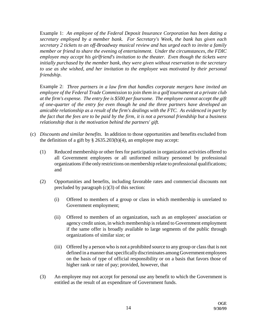Example 1: *An employee of the Federal Deposit Insurance Corporation has been dating a secretary employed by a member bank. For Secretary's Week, the bank has given each secretary 2 tickets to an off-Broadway musical review and has urged each to invite a family member or friend to share the evening of entertainment. Under the circumstances, the FDIC employee may accept his girlfriend's invitation to the theater. Even though the tickets were initially purchased by the member bank, they were given without reservation to the secretary to use as she wished, and her invitation to the employee was motivated by their personal friendship*.

Example 2: *Three partners in a law firm that handles corporate mergers have invited an employee of the Federal Trade Commission to join them in a golf tournament at a private club at the firm's expense. The entry fee is \$500 per foursome. The employee cannot accept the gift of one-quarter of the entry fee even though he and the three partners have developed an amicable relationship as a result of the firm's dealings with the FTC. As evidenced in part by the fact that the fees are to be paid by the firm, it is not a personal friendship but a business relationship that is the motivation behind the partners' gift.* 

- (c) *Discounts and similar benefits*. In addition to those opportunities and benefits excluded from the definition of a gift by  $\S 2635.203(b)(4)$ , an employee may accept:
	- (1) Reduced membership or other fees for participation in organization activities offered to all Government employees or all uniformed military personnel by professional organizations if the only restrictions on membership relate to professional qualifications; and
	- (2) Opportunities and benefits, including favorable rates and commercial discounts not precluded by paragraph  $(c)(3)$  of this section:
		- (i) Offered to members of a group or class in which membership is unrelated to Government employment;
		- (ii) Offered to members of an organization, such as an employees' association or agency credit union, in which membership is related to Government employment if the same offer is broadly available to large segments of the public through organizations of similar size; or
		- (iii) Offered by a person who is not a prohibited source to any group or class that is not defined in a manner that specifically discriminates among Government employees on the basis of type of official responsibility or on a basis that favors those of higher rank or rate of pay; provided, however, that
	- (3) An employee may not accept for personal use any benefit to which the Government is entitled as the result of an expenditure of Government funds.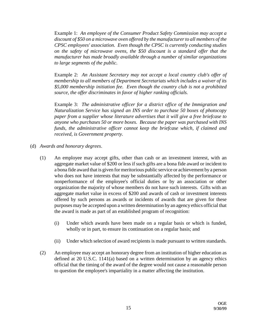Example 1: *An employee of the Consumer Product Safety Commission may accept a discount of \$50 on a microwave oven offered by the manufacturer to all members of the CPSC employees' association. Even though the CPSC is currently conducting studies on the safety of microwave ovens, the \$50 discount is a standard offer that the manufacturer has made broadly available through a number of similar organizations to large segments of the public.* 

Example 2: *An Assistant Secretary may not accept a local country club's offer of membership to all members of Department Secretariats which includes a waiver of its \$5,000 membership initiation fee. Even though the country club is not a prohibited source, the offer discriminates in favor of higher ranking officials.* 

Example 3: *The administrative officer for a district office of the Immigration and Naturalization Service has signed an INS order to purchase 50 boxes of photocopy paper from a supplier whose literature advertises that it will give a free briefcase to anyone who purchases 50 or more boxes. Because the paper was purchased with INS funds, the administrative officer cannot keep the briefcase which, if claimed and received, is Government property.* 

- (d) *Awards and honorary degrees*.
	- (1) An employee may accept gifts, other than cash or an investment interest, with an aggregate market value of \$200 or less if such gifts are a bona fide award or incident to a bona fide award that is given for meritorious public service or achievement by a person who does not have interests that may be substantially affected by the performance or nonperformance of the employee's official duties or by an association or other organization the majority of whose members do not have such interests. Gifts with an aggregate market value in excess of \$200 and awards of cash or investment interests offered by such persons as awards or incidents of awards that are given for these purposes may be accepted upon a written determination by an agency ethics official that the award is made as part of an established program of recognition:
		- (i) Under which awards have been made on a regular basis or which is funded, wholly or in part, to ensure its continuation on a regular basis; and
		- (ii) Under which selection of award recipients is made pursuant to written standards.
	- (2) An employee may accept an honorary degree from an institution of higher education as defined at 20 U.S.C. 1141(a) based on a written determination by an agency ethics official that the timing of the award of the degree would not cause a reasonable person to question the employee's impartiality in a matter affecting the institution.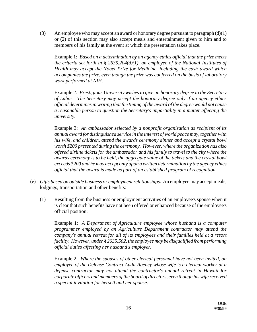(3) An employee who may accept an award or honorary degree pursuant to paragraph  $(d)(1)$ or (2) of this section may also accept meals and entertainment given to him and to members of his family at the event at which the presentation takes place.

Example 1: *Based on a determination by an agency ethics official that the prize meets the criteria set forth in § 2635.204(d)(1), an employee of the National Institutes of Health may accept the Nobel Prize for Medicine, including the cash award which accompanies the prize, even though the prize was conferred on the basis of laboratory work performed at NIH.* 

Example 2: *Prestigious University wishes to give an honorary degree to the Secretary of Labor. The Secretary may accept the honorary degree only if an agency ethics official determines in writing that the timing of the award of the degree would not cause a reasonable person to question the Secretary's impartiality in a matter affecting the university.* 

Example 3: *An ambassador selected by a nonprofit organization as recipient of its annual award for distinguished service in the interest of world peace may, together with his wife, and children, attend the awards ceremony dinner and accept a crystal bowl worth \$200 presented during the ceremony. However, where the organization has also offered airline tickets for the ambassador and his family to travel to the city where the awards ceremony is to be held, the aggregate value of the tickets and the crystal bowl exceeds \$200 and he may accept only upon a written determination by the agency ethics official that the award is made as part of an established program of recognition.* 

- (e) *Gifts based on outside business or employment relationships*. An employee may accept meals, lodgings, transportation and other benefits:
	- (1) Resulting from the business or employment activities of an employee's spouse when it is clear that such benefits have not been offered or enhanced because of the employee's official position;

Example 1: *A Department of Agriculture employee whose husband is a computer programmer employed by an Agriculture Department contractor may attend the company's annual retreat for all of its employees and their families held at a resort facility. However, under § 2635.502, the employee may be disqualified from performing official duties affecting her husband's employer.* 

Example 2: *Where the spouses of other clerical personnel have not been invited, an employee of the Defense Contract Audit Agency whose wife is a clerical worker at a defense contractor may not attend the contractor's annual retreat in Hawaii for corporate officers and members of the board of directors, even though his wife received a special invitation for herself and her spouse.*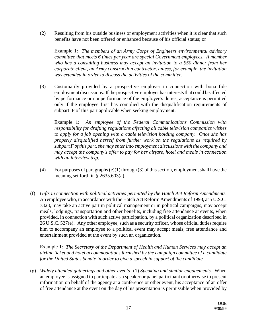(2) Resulting from his outside business or employment activities when it is clear that such benefits have not been offered or enhanced because of his official status; or

Example 1: *The members of an Army Corps of Engineers environmental advisory committee that meets 6 times per year are special Government employees. A member who has a consulting business may accept an invitation to a \$50 dinner from her corporate client, an Army construction contractor, unless, for example, the invitation was extended in order to discuss the activities of the committee.* 

(3) Customarily provided by a prospective employer in connection with bona fide employment discussions. If the prospective employer has interests that could be affected by performance or nonperformance of the employee's duties, acceptance is permitted only if the employee first has complied with the disqualification requirements of subpart F of this part applicable when seeking employment.

Example 1: *An employee of the Federal Communications Commission with responsibility for drafting regulations affecting all cable television companies wishes to apply for a job opening with a cable television holding company. Once she has properly disqualified herself from further work on the regulations as required by subpart F of this part, she may enter into employment discussions with the company and may accept the company's offer to pay for her airfare, hotel and meals in connection with an interview trip.* 

- (4) For purposes of paragraphs (e)(1) through (3) of this section, employment shall have the meaning set forth in § 2635.603(a).
- (f) *Gifts in connection with political activities permitted by the Hatch Act Reform Amendments*. An employee who, in accordance with the Hatch Act Reform Amendments of 1993, at 5 U.S.C. 7323, may take an active part in political management or in political campaigns, may accept meals, lodgings, transportation and other benefits, including free attendance at events, when provided, in connection with such active participation, by a political organization described in 26 U.S.C. 527(e). Any other employee, such as a security officer, whose official duties require him to accompany an employee to a political event may accept meals, free attendance and entertainment provided at the event by such an organization.

Example 1: *The Secretary of the Department of Health and Human Services may accept an airline ticket and hotel accommodations furnished by the campaign committee of a candidate for the United States Senate in order to give a speech in support of the candidate.*

(g) *Widely attended gatherings and other events--*(1) *Speaking and similar engagements*. When an employee is assigned to participate as a speaker or panel participant or otherwise to present information on behalf of the agency at a conference or other event, his acceptance of an offer of free attendance at the event on the day of his presentation is permissible when provided by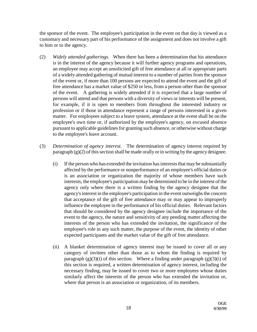the sponsor of the event. The employee's participation in the event on that day is viewed as a customary and necessary part of his performance of the assignment and does not involve a gift to him or to the agency.

- (2) *Widely attended gatherings*. When there has been a determination that his attendance is in the interest of the agency because it will further agency programs and operations, an employee may accept an unsolicited gift of free attendance at all or appropriate parts of a widely attended gathering of mutual interest to a number of parties from the sponsor of the event or, if more than 100 persons are expected to attend the event and the gift of free attendance has a market value of \$250 or less, from a person other than the sponsor of the event. A gathering is widely attended if it is expected that a large number of persons will attend and that persons with a diversity of views or interests will be present, for example, if it is open to members from throughout the interested industry or profession or if those in attendance represent a range of persons interested in a given matter. For employees subject to a leave system, attendance at the event shall be on the employee's own time or, if authorized by the employee's agency, on excused absence pursuant to applicable guidelines for granting such absence, or otherwise without charge to the employee's leave account.
- (3) *Determination of agency interest*. The determination of agency interest required by paragraph (g)(2) of this section shall be made orally or in writing by the agency designee.
	- (i) If the person who has extended the invitation has interests that may be substantially affected by the performance or nonperformance of an employee's official duties or is an association or organization the majority of whose members have such interests, the employee's participation may be determined to be in the interest of the agency only where there is a written finding by the agency designee that the agency's interest in the employee's participation in the event outweighs the concern that acceptance of the gift of free attendance may or may appear to improperly influence the employee in the performance of his official duties. Relevant factors that should be considered by the agency designee include the importance of the event to the agency, the nature and sensitivity of any pending matter affecting the interests of the person who has extended the invitation, the significance of the employee's role in any such matter, the purpose of the event, the identity of other expected participants and the market value of the gift of free attendance.
	- (ii) A blanket determination of agency interest may be issued to cover all or any category of invitees other than those as to whom the finding is required by paragraph  $(g)(3)(i)$  of this section. Where a finding under paragraph  $(g)(3)(i)$  of this section is required, a written determination of agency interest, including the necessary finding, may be issued to cover two or more employees whose duties similarly affect the interests of the person who has extended the invitation or, where that person is an association or organization, of its members.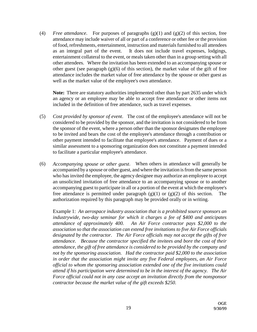(4) *Free attendance*. For purposes of paragraphs (g)(1) and (g)(2) of this section, free attendance may include waiver of all or part of a conference or other fee or the provision of food, refreshments, entertainment, instruction and materials furnished to all attendees as an integral part of the event. It does not include travel expenses, lodgings, entertainment collateral to the event, or meals taken other than in a group setting with all other attendees. Where the invitation has been extended to an accompanying spouse or other guest (see paragraph  $(g)(6)$  of this section), the market value of the gift of free attendance includes the market value of free attendance by the spouse or other guest as well as the market value of the employee's own attendance.

**Note:** There are statutory authorities implemented other than by part 2635 under which an agency or an employee may be able to accept free attendance or other items not included in the definition of free attendance, such as travel expenses.

- (5) *Cost provided by sponsor of event*. The cost of the employee's attendance will not be considered to be provided by the sponsor, and the invitation is not considered to be from the sponsor of the event, where a person other than the sponsor designates the employee to be invited and bears the cost of the employee's attendance through a contribution or other payment intended to facilitate that employee's attendance. Payment of dues or a similar assessment to a sponsoring organization does not constitute a payment intended to facilitate a particular employee's attendance.
- (6) *Accompanying spouse or other guest*. When others in attendance will generally be accompanied by a spouse or other guest, and where the invitation is from the same person who has invited the employee, the agency designee may authorize an employee to accept an unsolicited invitation of free attendance to an accompanying spouse or to another accompanying guest to participate in all or a portion of the event at which the employee's free attendance is permitted under paragraph  $(g)(1)$  or  $(g)(2)$  of this section. The authorization required by this paragraph may be provided orally or in writing.

Example 1: *An aerospace industry association that is a prohibited source sponsors an industrywide, two-day seminar for which it charges a fee of \$400 and anticipates attendance of approximately 400. An Air Force contractor pays \$2,000 to the association so that the association can extend free invitations to five Air Force officials designated by the contractor. The Air Force officials may not accept the gifts of free attendance. Because the contractor specified the invitees and bore the cost of their attendance, the gift of free attendance is considered to be provided by the company and not by the sponsoring association. Had the contractor paid \$2,000 to the association in order that the association might invite any five Federal employees, an Air Force official to whom the sponsoring association extended one of the five invitations could attend if his participation were determined to be in the interest of the agency. The Air Force official could not in any case accept an invitation directly from the nonsponsor contractor because the market value of the gift exceeds \$250.*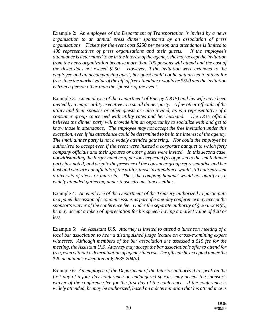Example 2: *An employee of the Department of Transportation is invited by a news organization to an annual press dinner sponsored by an association of press organizations. Tickets for the event cost \$250 per person and attendance is limited to 400 representatives of press organizations and their guests. If the employee's attendance is determined to be in the interest of the agency, she may accept the invitation from the news organization because more than 100 persons will attend and the cost of the ticket does not exceed \$250. However, if the invitation were extended to the employee and an accompanying guest, her guest could not be authorized to attend for free since the market value of the gift of free attendance would be \$500 and the invitation is from a person other than the sponsor of the event.*

Example 3: *An employee of the Department of Energy (DOE) and his wife have been invited by a major utility executive to a small dinner party. A few other officials of the utility and their spouses or other guests are also invited, as is a representative of a consumer group concerned with utility rates and her husband. The DOE official believes the dinner party will provide him an opportunity to socialize with and get to know those in attendance. The employee may not accept the free invitation under this exception, even if his attendance could be determined to be in the interest of the agency. The small dinner party is not a widely attended gathering. Nor could the employee be authorized to accept even if the event were instead a corporate banquet to which forty company officials and their spouses or other guests were invited. In this second case, notwithstanding the larger number of persons expected (as opposed to the small dinner party just noted) and despite the presence of the consumer group representative and her husband who are not officials of the utility, those in attendance would still not represent a diversity of views or interests. Thus, the company banquet would not qualify as a widely attended gathering under those circumstances either.*

Example 4*: An employee of the Department of the Treasury authorized to participate in a panel discussion of economic issues as part of a one-day conference may accept the sponsor's waiver of the conference fee. Under the separate authority of § 2635.204(a), he may accept a token of appreciation for his speech having a market value of \$20 or less.* 

Example 5: *An Assistant U.S. Attorney is invited to attend a luncheon meeting of a local bar association to hear a distinguished judge lecture on cross-examining expert witnesses. Although members of the bar association are assessed a \$15 fee for the meeting, the Assistant U.S. Attorney may accept the bar association's offer to attend for free, even without a determination of agency interest. The gift can be accepted under the \$20 de minimis exception at § 2635.204(a).* 

Example 6: *An employee of the Department of the Interior authorized to speak on the first day of a four-day conference on endangered species may accept the sponsor's waiver of the conference fee for the first day of the conference. If the conference is widely attended, he may be authorized, based on a determination that his attendance is*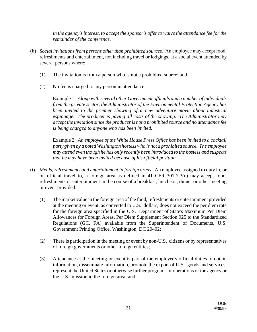*in the agency's interest, to accept the sponsor's offer to waive the attendance fee for the remainder of the conference.*

- (h) *Social invitations from persons other than prohibited sources*. An employee may accept food, refreshments and entertainment, not including travel or lodgings, at a social event attended by several persons where:
	- (1) The invitation is from a person who is not a prohibited source; and
	- (2) No fee is charged to any person in attendance.

Example 1: *Along with several other Government officials and a number of individuals from the private sector, the Administrator of the Environmental Protection Agency has been invited to the premier showing of a new adventure movie about industrial espionage. The producer is paying all costs of the showing. The Administrator may accept the invitation since the producer is not a prohibited source and no attendance fee is being charged to anyone who has been invited.* 

Example 2: *An employee of the White House Press Office has been invited to a cocktail party given by a noted Washington hostess who is not a prohibited source. The employee may attend even though he has only recently been introduced to the hostess and suspects that he may have been invited because of his official position.* 

- (i) *Meals, refreshments and entertainment in foreign areas*. An employee assigned to duty in, or on official travel to, a foreign area as defined in 41 CFR 301-7.3(c) may accept food, refreshments or entertainment in the course of a breakfast, luncheon, dinner or other meeting or event provided:
	- (1) The market value in the foreign area of the food, refreshments or entertainment provided at the meeting or event, as converted to U.S. dollars, does not exceed the per diem rate for the foreign area specified in the U.S. Department of State's Maximum Per Diem Allowances for Foreign Areas, Per Diem Supplement Section 925 to the Standardized Regulations (GC, FA) available from the Superintendent of Documents, U.S. Government Printing Office, Washington, DC 20402;
	- (2) There is participation in the meeting or event by non-U.S. citizens or by representatives of foreign governments or other foreign entities;
	- (3) Attendance at the meeting or event is part of the employee's official duties to obtain information, disseminate information, promote the export of U.S. goods and services, represent the United States or otherwise further programs or operations of the agency or the U.S. mission in the foreign area; and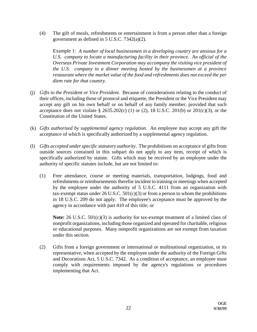(4) The gift of meals, refreshments or entertainment is from a person other than a foreign government as defined in 5 U.S.C. 7342(a)(2).

Example 1: *A number of local businessmen in a developing country are anxious for a U.S. company to locate a manufacturing facility in their province. An official of the Overseas Private Investment Corporation may accompany the visiting vice president of the U.S. company to a dinner meeting hosted by the businessmen at a province restaurant where the market value of the food and refreshments does not exceed the per diem rate for that country.* 

- (j) *Gifts to the President or Vice President*. Because of considerations relating to the conduct of their offices, including those of protocol and etiquette, the President or the Vice President may accept any gift on his own behalf or on behalf of any family member, provided that such acceptance does not violate § 2635.202(c) (1) or (2), 18 U.S.C. 201(b) or 201(c)(3), or the Constitution of the United States.
- (k) *Gifts authorized by supplemental agency regulation*. An employee may accept any gift the acceptance of which is specifically authorized by a supplemental agency regulation.
- (l) *Gifts accepted under specific statutory authority*. The prohibitions on acceptance of gifts from outside sources contained in this subpart do not apply to any item, receipt of which is specifically authorized by statute. Gifts which may be received by an employee under the authority of specific statutes include, but are not limited to:
	- (1) Free attendance, course or meeting materials, transportation, lodgings, food and refreshments or reimbursements therefor incident to training or meetings when accepted by the employee under the authority of 5 U.S.C. 4111 from an organization with tax-exempt status under  $26$  U.S.C.  $501(c)(3)$  or from a person to whom the prohibitions in 18 U.S.C. 209 do not apply. The employee's acceptance must be approved by the agency in accordance with part 410 of this title; or

**Note:** 26 U.S.C. 501(c)(3) is authority for tax-exempt treatment of a limited class of nonprofit organizations, including those organized and operated for charitable, religious or educational purposes. Many nonprofit organizations are not exempt from taxation under this section.

(2) Gifts from a foreign government or international or multinational organization, or its representative, when accepted by the employee under the authority of the Foreign Gifts and Decorations Act, 5 U.S.C. 7342. As a condition of acceptance, an employee must comply with requirements imposed by the agency's regulations or procedures implementing that Act.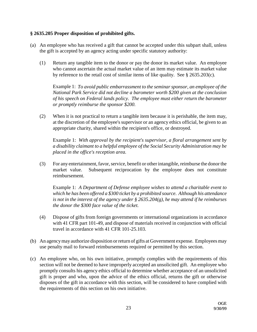# **§ 2635.205 Proper disposition of prohibited gifts.**

- (a) An employee who has received a gift that cannot be accepted under this subpart shall, unless the gift is accepted by an agency acting under specific statutory authority:
	- (1) Return any tangible item to the donor or pay the donor its market value. An employee who cannot ascertain the actual market value of an item may estimate its market value by reference to the retail cost of similar items of like quality. See § 2635.203(c).

Example 1: *To avoid public embarrassment to the seminar sponsor, an employee of the National Park Service did not decline a barometer worth \$200 given at the conclusion of his speech on Federal lands policy. The employee must either return the barometer or promptly reimburse the sponsor \$200.* 

(2) When it is not practical to return a tangible item because it is perishable, the item may, at the discretion of the employee's supervisor or an agency ethics official, be given to an appropriate charity, shared within the recipient's office, or destroyed.

Example 1: *With approval by the recipient's supervisor, a floral arrangement sent by a disability claimant to a helpful employee of the Social Security Administration may be placed in the office's reception area.* 

(3) For any entertainment, favor, service, benefit or other intangible, reimburse the donor the market value. Subsequent reciprocation by the employee does not constitute reimbursement.

Example 1: *A Department of Defense employee wishes to attend a charitable event to which he has been offered a \$300 ticket by a prohibited source. Although his attendance is not in the interest of the agency under § 2635.204(g), he may attend if he reimburses the donor the \$300 face value of the ticket.* 

- (4) Dispose of gifts from foreign governments or international organizations in accordance with 41 CFR part 101-49, and dispose of materials received in conjunction with official travel in accordance with 41 CFR 101-25.103.
- (b) An agency may authorize disposition or return of gifts at Government expense. Employees may use penalty mail to forward reimbursements required or permitted by this section.
- (c) An employee who, on his own initiative, promptly complies with the requirements of this section will not be deemed to have improperly accepted an unsolicited gift. An employee who promptly consults his agency ethics official to determine whether acceptance of an unsolicited gift is proper and who, upon the advice of the ethics official, returns the gift or otherwise disposes of the gift in accordance with this section, will be considered to have complied with the requirements of this section on his own initiative.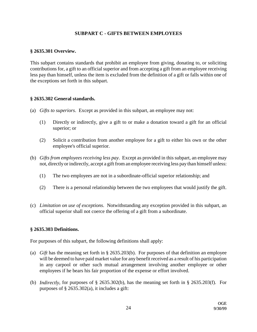# **SUBPART C - GIFTS BETWEEN EMPLOYEES**

# **§ 2635.301 Overview.**

This subpart contains standards that prohibit an employee from giving, donating to, or soliciting contributions for, a gift to an official superior and from accepting a gift from an employee receiving less pay than himself, unless the item is excluded from the definition of a gift or falls within one of the exceptions set forth in this subpart.

#### **§ 2635.302 General standards.**

- (a) *Gifts to superiors*. Except as provided in this subpart, an employee may not:
	- (1) Directly or indirectly, give a gift to or make a donation toward a gift for an official superior; or
	- (2) Solicit a contribution from another employee for a gift to either his own or the other employee's official superior.
- (b) *Gifts from employees receiving less pay*. Except as provided in this subpart, an employee may not, directly or indirectly, accept a gift from an employee receiving less pay than himself unless:
	- (1) The two employees are not in a subordinate-official superior relationship; and
	- (2) There is a personal relationship between the two employees that would justify the gift.
- (c) *Limitation on use of exceptions*. Notwithstanding any exception provided in this subpart, an official superior shall not coerce the offering of a gift from a subordinate.

#### **§ 2635.303 Definitions.**

For purposes of this subpart, the following definitions shall apply:

- (a) *Gift* has the meaning set forth in § 2635.203(b). For purposes of that definition an employee will be deemed to have paid market value for any benefit received as a result of his participation in any carpool or other such mutual arrangement involving another employee or other employees if he bears his fair proportion of the expense or effort involved.
- (b) *Indirectly*, for purposes of § 2635.302(b), has the meaning set forth in § 2635.203(f). For purposes of  $\S 2635.302(a)$ , it includes a gift: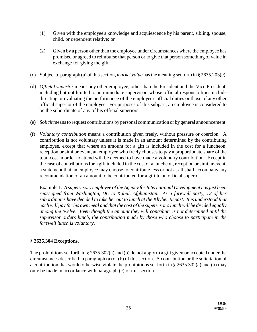- (1) Given with the employee's knowledge and acquiescence by his parent, sibling, spouse, child, or dependent relative; or
- (2) Given by a person other than the employee under circumstances where the employee has promised or agreed to reimburse that person or to give that person something of value in exchange for giving the gift.
- (c) Subject to paragraph (a) of this section, *market value* has the meaning set forth in § 2635.203(c).
- (d) *Official superior* means any other employee, other than the President and the Vice President, including but not limited to an immediate supervisor, whose official responsibilities include directing or evaluating the performance of the employee's official duties or those of any other official superior of the employee. For purposes of this subpart, an employee is considered to be the subordinate of any of his official superiors.
- (e) *Solicit* means to request contributions by personal communication or by general announcement.
- (f) *Voluntary contribution* means a contribution given freely, without pressure or coercion. A contribution is not voluntary unless it is made in an amount determined by the contributing employee, except that where an amount for a gift is included in the cost for a luncheon, reception or similar event, an employee who freely chooses to pay a proportionate share of the total cost in order to attend will be deemed to have made a voluntary contribution. Except in the case of contributions for a gift included in the cost of a luncheon, reception or similar event, a statement that an employee may choose to contribute less or not at all shall accompany any recommendation of an amount to be contributed for a gift to an official superior.

Example 1: *A supervisory employee of the Agency for International Development has just been reassigned from Washington, DC to Kabul, Afghanistan. As a farewell party, 12 of her subordinates have decided to take her out to lunch at the Khyber Repast. It is understood that each will pay for his own meal and that the cost of the supervisor's lunch will be divided equally among the twelve. Even though the amount they will contribute is not determined until the supervisor orders lunch, the contribution made by those who choose to participate in the farewell lunch is voluntary.*

# **§ 2635.304 Exceptions.**

The prohibitions set forth in  $\S 2635.302(a)$  and (b) do not apply to a gift given or accepted under the circumstances described in paragraph (a) or (b) of this section. A contribution or the solicitation of a contribution that would otherwise violate the prohibitions set forth in § 2635.302(a) and (b) may only be made in accordance with paragraph (c) of this section.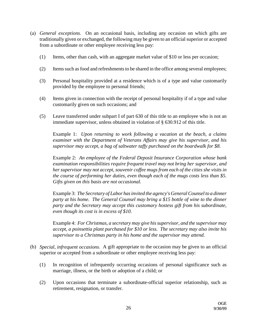- (a) *General exceptions*. On an occasional basis, including any occasion on which gifts are traditionally given or exchanged, the following may be given to an official superior or accepted from a subordinate or other employee receiving less pay:
	- (1) Items, other than cash, with an aggregate market value of \$10 or less per occasion;
	- (2) Items such as food and refreshments to be shared in the office among several employees;
	- (3) Personal hospitality provided at a residence which is of a type and value customarily provided by the employee to personal friends;
	- (4) Items given in connection with the receipt of personal hospitality if of a type and value customarily given on such occasions; and
	- (5) Leave transferred under subpart I of part 630 of this title to an employee who is not an immediate supervisor, unless obtained in violation of § 630.912 of this title.

Example 1: *Upon returning to work following a vacation at the beach, a claims examiner with the Department of Veterans Affairs may give his supervisor, and his supervisor may accept, a bag of saltwater taffy purchased on the boardwalk for \$8.* 

Example 2: *An employee of the Federal Deposit Insurance Corporation whose bank examination responsibilities require frequent travel may not bring her supervisor, and her supervisor may not accept, souvenir coffee mugs from each of the cities she visits in the course of performing her duties, even though each of the mugs costs less than \$5. Gifts given on this basis are not occasional.* 

Example 3: *The Secretary of Labor has invited the agency's General Counsel to a dinner party at his home. The General Counsel may bring a \$15 bottle of wine to the dinner party and the Secretary may accept this customary hostess gift from his subordinate, even though its cost is in excess of \$10.* 

Example 4: *For Christmas, a secretary may give his supervisor, and the supervisor may accept, a poinsettia plant purchased for \$10 or less. The secretary may also invite his supervisor to a Christmas party in his home and the supervisor may attend.* 

- (b) *Special, infrequent occasions*. A gift appropriate to the occasion may be given to an official superior or accepted from a subordinate or other employee receiving less pay:
	- (1) In recognition of infrequently occurring occasions of personal significance such as marriage, illness, or the birth or adoption of a child; or
	- (2) Upon occasions that terminate a subordinate-official superior relationship, such as retirement, resignation, or transfer.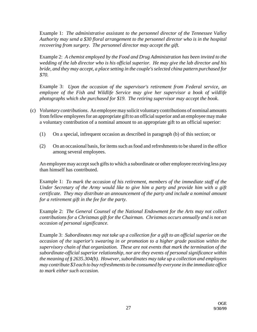Example 1: *The administrative assistant to the personnel director of the Tennessee Valley Authority may send a \$30 floral arrangement to the personnel director who is in the hospital recovering from surgery. The personnel director may accept the gift*.

Example 2: *A chemist employed by the Food and Drug Administration has been invited to the wedding of the lab director who is his official superior. He may give the lab director and his bride, and they may accept, a place setting in the couple's selected china pattern purchased for \$70.* 

Example 3: *Upon the occasion of the supervisor's retirement from Federal service, an employee of the Fish and Wildlife Service may give her supervisor a book of wildlife photographs which she purchased for \$19. The retiring supervisor may accept the book.* 

- (c) *Voluntary contributions*. An employee may solicit voluntary contributions of nominal amounts from fellow employees for an appropriate gift to an official superior and an employee may make a voluntary contribution of a nominal amount to an appropriate gift to an official superior:
	- (1) On a special, infrequent occasion as described in paragraph (b) of this section; or
	- (2) On an occasional basis, for items such as food and refreshments to be shared in the office among several employees.

An employee may accept such gifts to which a subordinate or other employee receiving less pay than himself has contributed.

Example 1: *To mark the occasion of his retirement, members of the immediate staff of the Under Secretary of the Army would like to give him a party and provide him with a gift certificate. They may distribute an announcement of the party and include a nominal amount for a retirement gift in the fee for the party.* 

Example 2: *The General Counsel of the National Endowment for the Arts may not collect contributions for a Christmas gift for the Chairman. Christmas occurs annually and is not an occasion of personal significance.* 

Example 3: *Subordinates may not take up a collection for a gift to an official superior on the occasion of the superior's swearing in or promotion to a higher grade position within the supervisory chain of that organization. These are not events that mark the termination of the subordinate-official superior relationship, nor are they events of personal significance within the meaning of § 2635.304(b). However, subordinates may take up a collection and employees may contribute \$3 each to buy refreshments to be consumed by everyone in the immediate office to mark either such occasion.*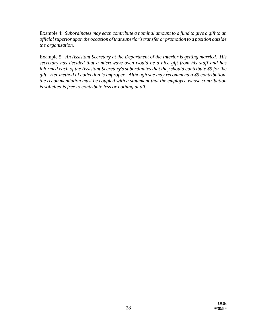Example 4: *Subordinates may each contribute a nominal amount to a fund to give a gift to an official superior upon the occasion of that superior's transfer or promotion to a position outside the organization.* 

Example 5: *An Assistant Secretary at the Department of the Interior is getting married. His secretary has decided that a microwave oven would be a nice gift from his staff and has informed each of the Assistant Secretary's subordinates that they should contribute \$5 for the gift. Her method of collection is improper. Although she may recommend a \$5 contribution, the recommendation must be coupled with a statement that the employee whose contribution is solicited is free to contribute less or nothing at all.*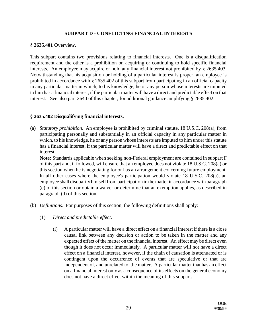# **SUBPART D - CONFLICTING FINANCIAL INTERESTS**

#### **§ 2635.401 Overview.**

This subpart contains two provisions relating to financial interests. One is a disqualification requirement and the other is a prohibition on acquiring or continuing to hold specific financial interests. An employee may acquire or hold any financial interest not prohibited by § 2635.403. Notwithstanding that his acquisition or holding of a particular interest is proper, an employee is prohibited in accordance with § 2635.402 of this subpart from participating in an official capacity in any particular matter in which, to his knowledge, he or any person whose interests are imputed to him has a financial interest, if the particular matter will have a direct and predictable effect on that interest. See also part 2640 of this chapter, for additional guidance amplifying § 2635.402.

# **§ 2635.402 Disqualifying financial interests.**

(a) *Statutory prohibition*. An employee is prohibited by criminal statute, 18 U.S.C. 208(a), from participating personally and substantially in an official capacity in any particular matter in which, to his knowledge, he or any person whose interests are imputed to him under this statute has a financial interest, if the particular matter will have a direct and predictable effect on that interest.

**Note:** Standards applicable when seeking non-Federal employment are contained in subpart F of this part and, if followed, will ensure that an employee does not violate 18 U.S.C. 208(a) or this section when he is negotiating for or has an arrangement concerning future employment. In all other cases where the employee's participation would violate 18 U.S.C. 208(a), an employee shall disqualify himself from participation in the matter in accordance with paragraph (c) of this section or obtain a waiver or determine that an exemption applies, as described in paragraph (d) of this section.

- (b) *Definitions*. For purposes of this section, the following definitions shall apply:
	- (1) *Direct and predictable effect*.
		- (i) A particular matter will have a direct effect on a financial interest if there is a close causal link between any decision or action to be taken in the matter and any expected effect of the matter on the financial interest. An effect may be direct even though it does not occur immediately. A particular matter will not have a direct effect on a financial interest, however, if the chain of causation is attenuated or is contingent upon the occurrence of events that are speculative or that are independent of, and unrelated to, the matter. A particular matter that has an effect on a financial interest only as a consequence of its effects on the general economy does not have a direct effect within the meaning of this subpart.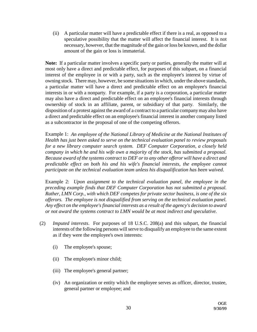(ii) A particular matter will have a predictable effect if there is a real, as opposed to a speculative possibility that the matter will affect the financial interest. It is not necessary, however, that the magnitude of the gain or loss be known, and the dollar amount of the gain or loss is immaterial.

**Note:** If a particular matter involves a specific party or parties, generally the matter will at most only have a direct and predictable effect, for purposes of this subpart, on a financial interest of the employee in or with a party, such as the employee's interest by virtue of owning stock. There may, however, be some situations in which, under the above standards, a particular matter will have a direct and predictable effect on an employee's financial interests in or with a nonparty. For example, if a party is a corporation, a particular matter may also have a direct and predictable effect on an employee's financial interests through ownership of stock in an affiliate, parent, or subsidiary of that party. Similarly, the disposition of a protest against the award of a contract to a particular company may also have a direct and predictable effect on an employee's financial interest in another company listed as a subcontractor in the proposal of one of the competing offerors.

Example 1: *An employee of the National Library of Medicine at the National Institutes of Health has just been asked to serve on the technical evaluation panel to review proposals for a new library computer search system. DEF Computer Corporation, a closely held company in which he and his wife own a majority of the stock, has submitted a proposal. Because award of the systems contract to DEF or to any other offeror will have a direct and predictable effect on both his and his wife's financial interests, the employee cannot participate on the technical evaluation team unless his disqualification has been waived*.

Example 2: *Upon assignment to the technical evaluation panel, the employee in the preceding example finds that DEF Computer Corporation has not submitted a proposal. Rather, LMN Corp., with which DEF competes for private sector business, is one of the six offerors. The employee is not disqualified from serving on the technical evaluation panel. Any effect on the employee's financial interests as a result of the agency's decision to award or not award the systems contract to LMN would be at most indirect and speculative.* 

- (2) *Imputed interests*. For purposes of 18 U.S.C. 208(a) and this subpart, the financial interests of the following persons will serve to disqualify an employee to the same extent as if they were the employee's own interests:
	- (i) The employee's spouse;
	- (ii) The employee's minor child;
	- (iii) The employee's general partner;
	- (iv) An organization or entity which the employee serves as officer, director, trustee, general partner or employee; and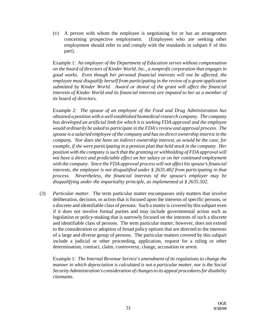(v) A person with whom the employee is negotiating for or has an arrangement concerning prospective employment. (Employees who are seeking other employment should refer to and comply with the standards in subpart F of this part).

Example 1: *An employee of the Department of Education serves without compensation on the board of directors of Kinder World, Inc., a nonprofit corporation that engages in good works. Even though her personal financial interests will not be affected, the employee must disqualify herself from participating in the review of a grant application submitted by Kinder World. Award or denial of the grant will affect the financial interests of Kinder World and its financial interests are imputed to her as a member of its board of directors.* 

Example 2: *The spouse of an employee of the Food and Drug Administration has obtained a position with a well established biomedical research company. The company has developed an artificial limb for which it is seeking FDA approval and the employee would ordinarily be asked to participate in the FDA's review and approval process. The spouse is a salaried employee of the company and has no direct ownership interest in the company. Nor does she have an indirect ownership interest, as would be the case, for example, if she were participating in a pension plan that held stock in the company. Her position with the company is such that the granting or withholding of FDA approval will not have a direct and predictable effect on her salary or on her continued employment with the company. Since the FDA approval process will not affect his spouse's financial interests, the employee is not disqualified under § 2635.402 from participating in that process. Nevertheless, the financial interests of the spouse's employer may be disqualifying under the impartiality principle, as implemented at § 2635.502.* 

(3) *Particular matter*. The term particular matter encompasses only matters that involve deliberation, decision, or action that is focused upon the interests of specific persons, or a discrete and identifiable class of persons. Such a matter is covered by this subpart even if it does not involve formal parties and may include governmental action such as legislation or policy-making that is narrowly focused on the interests of such a discrete and identifiable class of persons. The term particular matter, however, does not extend to the consideration or adoption of broad policy options that are directed to the interests of a large and diverse group of persons. The particular matters covered by this subpart include a judicial or other proceeding, application, request for a ruling or other determination, contract, claim, controversy, charge, accusation or arrest.

Example 1: *The Internal Revenue Service's amendment of its regulations to change the manner in which depreciation is calculated is not a particular matter, nor is the Social Security Administration's consideration of changes to its appeal procedures for disability claimants.*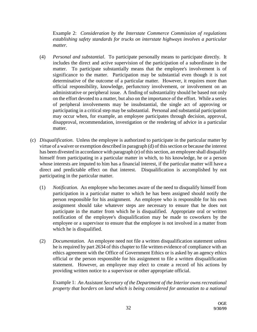Example 2: *Consideration by the Interstate Commerce Commission of regulations establishing safety standards for trucks on interstate highways involves a particular matter.* 

- (4) *Personal and substantial*. To participate personally means to participate directly. It includes the direct and active supervision of the participation of a subordinate in the matter. To participate substantially means that the employee's involvement is of significance to the matter. Participation may be substantial even though it is not determinative of the outcome of a particular matter. However, it requires more than official responsibility, knowledge, perfunctory involvement, or involvement on an administrative or peripheral issue. A finding of substantiality should be based not only on the effort devoted to a matter, but also on the importance of the effort. While a series of peripheral involvements may be insubstantial, the single act of approving or participating in a critical step may be substantial. Personal and substantial participation may occur when, for example, an employee participates through decision, approval, disapproval, recommendation, investigation or the rendering of advice in a particular matter.
- (c) *Disqualification*. Unless the employee is authorized to participate in the particular matter by virtue of a waiver or exemption described in paragraph (d) of this section or because the interest has been divested in accordance with paragraph (e) of this section, an employee shall disqualify himself from participating in a particular matter in which, to his knowledge, he or a person whose interests are imputed to him has a financial interest, if the particular matter will have a direct and predictable effect on that interest. Disqualification is accomplished by not participating in the particular matter.
	- (1) *Notification*. An employee who becomes aware of the need to disqualify himself from participation in a particular matter to which he has been assigned should notify the person responsible for his assignment. An employee who is responsible for his own assignment should take whatever steps are necessary to ensure that he does not participate in the matter from which he is disqualified. Appropriate oral or written notification of the employee's disqualification may be made to coworkers by the employee or a supervisor to ensure that the employee is not involved in a matter from which he is disqualified.
	- (2) *Documentation*. An employee need not file a written disqualification statement unless he is required by part 2634 of this chapter to file written evidence of compliance with an ethics agreement with the Office of Government Ethics or is asked by an agency ethics official or the person responsible for his assignment to file a written disqualification statement. However, an employee may elect to create a record of his actions by providing written notice to a supervisor or other appropriate official.

Example 1: *An Assistant Secretary of the Department of the Interior owns recreational property that borders on land which is being considered for annexation to a national*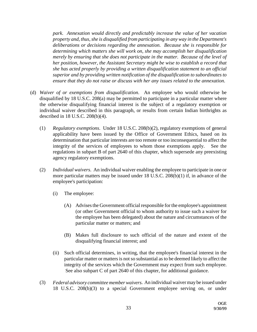*park. Annexation would directly and predictably increase the value of her vacation property and, thus, she is disqualified from participating in any way in the Department's deliberations or decisions regarding the annexation. Because she is responsible for determining which matters she will work on, she may accomplish her disqualification merely by ensuring that she does not participate in the matter. Because of the level of her position, however, the Assistant Secretary might be wise to establish a record that she has acted properly by providing a written disqualification statement to an official superior and by providing written notification of the disqualification to subordinates to ensure that they do not raise or discuss with her any issues related to the annexation.* 

- (d) *Waiver of or exemptions from disqualification*. An employee who would otherwise be disqualified by 18 U.S.C. 208(a) may be permitted to participate in a particular matter where the otherwise disqualifying financial interest is the subject of a regulatory exemption or individual waiver described in this paragraph, or results from certain Indian birthrights as described in 18 U.S.C. 208(b)(4).
	- (1) *Regulatory exemptions*. Under 18 U.S.C. 208(b)(2), regulatory exemptions of general applicability have been issued by the Office of Government Ethics, based on its determination that particular interests are too remote or too inconsequential to affect the integrity of the services of employees to whom those exemptions apply. See the regulations in subpart B of part 2640 of this chapter, which supersede any preexisting agency regulatory exemptions.
	- (2) *Individual waivers*. An individual waiver enabling the employee to participate in one or more particular matters may be issued under 18 U.S.C. 208(b)(1) if, in advance of the employee's participation:
		- (i) The employee:
			- (A) Advises the Government official responsible for the employee's appointment (or other Government official to whom authority to issue such a waiver for the employee has been delegated) about the nature and circumstances of the particular matter or matters; and
			- (B) Makes full disclosure to such official of the nature and extent of the disqualifying financial interest; and
		- (ii) Such official determines, in writing, that the employee's financial interest in the particular matter or matters is not so substantial as to be deemed likely to affect the integrity of the services which the Government may expect from such employee. See also subpart C of part 2640 of this chapter, for additional guidance.
	- (3) *Federal advisory committee member waivers*. An individual waiver may be issued under 18 U.S.C. 208(b)(3) to a special Government employee serving on, or under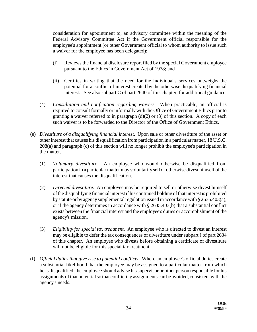consideration for appointment to, an advisory committee within the meaning of the Federal Advisory Committee Act if the Government official responsible for the employee's appointment (or other Government official to whom authority to issue such a waiver for the employee has been delegated):

- (i) Reviews the financial disclosure report filed by the special Government employee pursuant to the Ethics in Government Act of 1978; and
- (ii) Certifies in writing that the need for the individual's services outweighs the potential for a conflict of interest created by the otherwise disqualifying financial interest. See also subpart C of part 2640 of this chapter, for additional guidance.
- (4) *Consultation and notification regarding waivers*. When practicable, an official is required to consult formally or informally with the Office of Government Ethics prior to granting a waiver referred to in paragraph  $(d)(2)$  or  $(3)$  of this section. A copy of each such waiver is to be forwarded to the Director of the Office of Government Ethics.
- (e) *Divestiture of a disqualifying financial interest*. Upon sale or other divestiture of the asset or other interest that causes his disqualification from participation in a particular matter, 18 U.S.C. 208(a) and paragraph (c) of this section will no longer prohibit the employee's participation in the matter.
	- (1) *Voluntary divestiture*. An employee who would otherwise be disqualified from participation in a particular matter may voluntarily sell or otherwise divest himself of the interest that causes the disqualification.
	- (2) *Directed divestiture*. An employee may be required to sell or otherwise divest himself of the disqualifying financial interest if his continued holding of that interest is prohibited by statute or by agency supplemental regulation issued in accordance with § 2635.403(a), or if the agency determines in accordance with § 2635.403(b) that a substantial conflict exists between the financial interest and the employee's duties or accomplishment of the agency's mission.
	- (3) *Eligibility for special tax treatment*. An employee who is directed to divest an interest may be eligible to defer the tax consequences of divestiture under subpart J of part 2634 of this chapter. An employee who divests before obtaining a certificate of divestiture will not be eligible for this special tax treatment.
- (f) *Official duties that give rise to potential conflicts*. Where an employee's official duties create a substantial likelihood that the employee may be assigned to a particular matter from which he is disqualified, the employee should advise his supervisor or other person responsible for his assignments of that potential so that conflicting assignments can be avoided, consistent with the agency's needs.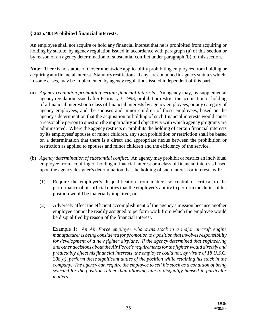### **§ 2635.403 Prohibited financial interests.**

An employee shall not acquire or hold any financial interest that he is prohibited from acquiring or holding by statute, by agency regulation issued in accordance with paragraph (a) of this section or by reason of an agency determination of substantial conflict under paragraph (b) of this section.

**Note:** There is no statute of Governmentwide applicability prohibiting employees from holding or acquiring any financial interest. Statutory restrictions, if any, are contained in agency statutes which, in some cases, may be implemented by agency regulations issued independent of this part.

- (a) *Agency regulation prohibiting certain financial interests*. An agency may, by supplemental agency regulation issued after February 3, 1993, prohibit or restrict the acquisition or holding of a financial interest or a class of financial interests by agency employees, or any category of agency employees, and the spouses and minor children of those employees, based on the agency's determination that the acquisition or holding of such financial interests would cause a reasonable person to question the impartiality and objectivity with which agency programs are administered. Where the agency restricts or prohibits the holding of certain financial interests by its employees' spouses or minor children, any such prohibition or restriction shall be based on a determination that there is a direct and appropriate nexus between the prohibition or restriction as applied to spouses and minor children and the efficiency of the service.
- (b) *Agency determination of substantial conflict*. An agency may prohibit or restrict an individual employee from acquiring or holding a financial interest or a class of financial interests based upon the agency designee's determination that the holding of such interest or interests will:
	- (1) Require the employee's disqualification from matters so central or critical to the performance of his official duties that the employee's ability to perform the duties of his position would be materially impaired; or
	- (2) Adversely affect the efficient accomplishment of the agency's mission because another employee cannot be readily assigned to perform work from which the employee would be disqualified by reason of the financial interest.

Example 1: *An Air Force employee who owns stock in a major aircraft engine manufacturer is being considered for promotion to a position that involves responsibility for development of a new fighter airplane. If the agency determined that engineering and other decisions about the Air Force's requirements for the fighter would directly and predictably affect his financial interests, the employee could not, by virtue of 18 U.S.C. 208(a), perform these significant duties of the position while retaining his stock in the company. The agency can require the employee to sell his stock as a condition of being selected for the position rather than allowing him to disqualify himself in particular matters.*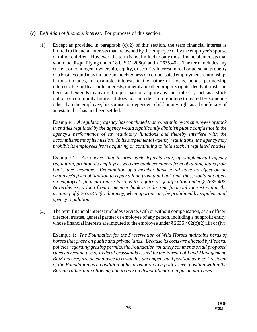- (c) *Definition of financial interest*. For purposes of this section:
	- (1) Except as provided in paragraph (c)(2) of this section, the term financial interest is limited to financial interests that are owned by the employee or by the employee's spouse or minor children. However, the term is not limited to only those financial interests that would be disqualifying under 18 U.S.C. 208(a) and § 2635.402. The term includes any current or contingent ownership, equity, or security interest in real or personal property or a business and may include an indebtedness or compensated employment relationship. It thus includes, for example, interests in the nature of stocks, bonds, partnership interests, fee and leasehold interests, mineral and other property rights, deeds of trust, and liens, and extends to any right to purchase or acquire any such interest, such as a stock option or commodity future. It does not include a future interest created by someone other than the employee, his spouse, or dependent child or any right as a beneficiary of an estate that has not been settled.

Example 1: *A regulatory agency has concluded that ownership by its employees of stock in entities regulated by the agency would significantly diminish public confidence in the agency's performance of its regulatory functions and thereby interfere with the accomplishment of its mission. In its supplemental agency regulations, the agency may prohibit its employees from acquiring or continuing to hold stock in regulated entities.*

Example 2: A*n agency that insures bank deposits may, by supplemental agency regulation, prohibit its employees who are bank examiners from obtaining loans from banks they examine. Examination of a member bank could have no effect on an employee's fixed obligation to repay a loan from that bank and, thus, would not affect an employee's financial interests so as to require disqualification under § 2635.402. Nevertheless, a loan from a member bank is a discrete financial interest within the meaning of § 2635.403(c) that may, when appropriate, be prohibited by supplemental agency regulation.* 

(2) The term financial interest includes service, with or without compensation, as an officer, director, trustee, general partner or employee of any person, including a nonprofit entity, whose financial interests are imputed to the employee under § 2635.402(b)(2)(iii) or (iv).

Example 1: *The Foundation for the Preservation of Wild Horses maintains herds of horses that graze on public and private lands. Because its costs are affected by Federal policies regarding grazing permits, the Foundation routinely comments on all proposed rules governing use of Federal grasslands issued by the Bureau of Land Management. BLM may require an employee to resign his uncompensated position as Vice President of the Foundation as a condition of his promotion to a policy-level position within the Bureau rather than allowing him to rely on disqualification in particular cases.*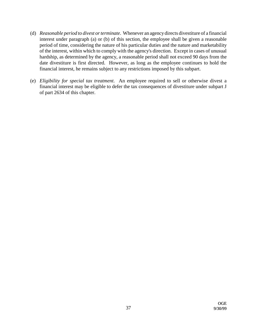- (d) *Reasonable period to divest or terminate*. Whenever an agency directs divestiture of a financial interest under paragraph (a) or (b) of this section, the employee shall be given a reasonable period of time, considering the nature of his particular duties and the nature and marketability of the interest, within which to comply with the agency's direction. Except in cases of unusual hardship, as determined by the agency, a reasonable period shall not exceed 90 days from the date divestiture is first directed. However, as long as the employee continues to hold the financial interest, he remains subject to any restrictions imposed by this subpart.
- (e) *Eligibility for special tax treatment*. An employee required to sell or otherwise divest a financial interest may be eligible to defer the tax consequences of divestiture under subpart J of part 2634 of this chapter.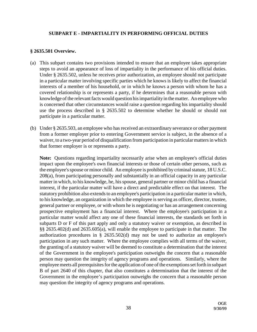### **SUBPART E - IMPARTIALITY IN PERFORMING OFFICIAL DUTIES**

#### **§ 2635.501 Overview.**

- (a) This subpart contains two provisions intended to ensure that an employee takes appropriate steps to avoid an appearance of loss of impartiality in the performance of his official duties. Under § 2635.502, unless he receives prior authorization, an employee should not participate in a particular matter involving specific parties which he knows is likely to affect the financial interests of a member of his household, or in which he knows a person with whom he has a covered relationship is or represents a party, if he determines that a reasonable person with knowledge of the relevant facts would question his impartiality in the matter. An employee who is concerned that other circumstances would raise a question regarding his impartiality should use the process described in § 2635.502 to determine whether he should or should not participate in a particular matter.
- (b) Under § 2635.503, an employee who has received an extraordinary severance or other payment from a former employer prior to entering Government service is subject, in the absence of a waiver, to a two-year period of disqualification from participation in particular matters in which that former employer is or represents a party.

**Note:** Questions regarding impartiality necessarily arise when an employee's official duties impact upon the employee's own financial interests or those of certain other persons, such as the employee's spouse or minor child. An employee is prohibited by criminal statute, 18 U.S.C. 208(a), from participating personally and substantially in an official capacity in any particular matter in which, to his knowledge, he, his spouse, general partner or minor child has a financial interest, if the particular matter will have a direct and predictable effect on that interest. The statutory prohibition also extends to an employee's participation in a particular matter in which, to his knowledge, an organization in which the employee is serving as officer, director, trustee, general partner or employee, or with whom he is negotiating or has an arrangement concerning prospective employment has a financial interest. Where the employee's participation in a particular matter would affect any one of these financial interests, the standards set forth in subparts D or F of this part apply and only a statutory waiver or exemption, as described in §§ 2635.402(d) and 2635.605(a), will enable the employee to participate in that matter. The authorization procedures in § 2635.502(d) may not be used to authorize an employee's participation in any such matter. Where the employee complies with all terms of the waiver, the granting of a statutory waiver will be deemed to constitute a determination that the interest of the Government in the employee's participation outweighs the concern that a reasonable person may question the integrity of agency programs and operations. Similarly, where the employee meets all prerequisites for the application of one of the exemptions set forth in subpart B of part 2640 of this chapter, that also constitutes a determination that the interest of the Government in the employee's participation outweighs the concern that a reasonable person may question the integrity of agency programs and operations.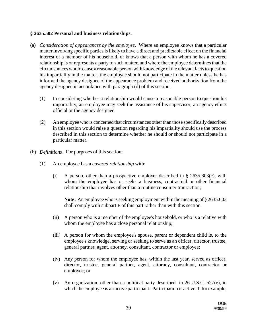### **§ 2635.502 Personal and business relationships.**

- (a) *Consideration of appearances by the employee*. Where an employee knows that a particular matter involving specific parties is likely to have a direct and predictable effect on the financial interest of a member of his household, or knows that a person with whom he has a covered relationship is or represents a party to such matter, and where the employee determines that the circumstances would cause a reasonable person with knowledge of the relevant facts to question his impartiality in the matter, the employee should not participate in the matter unless he has informed the agency designee of the appearance problem and received authorization from the agency designee in accordance with paragraph (d) of this section.
	- (1) In considering whether a relationship would cause a reasonable person to question his impartiality, an employee may seek the assistance of his supervisor, an agency ethics official or the agency designee.
	- (2) An employee who is concerned that circumstances other than those specifically described in this section would raise a question regarding his impartiality should use the process described in this section to determine whether he should or should not participate in a particular matter.
- (b) *Definitions*. For purposes of this section:
	- (1) An employee has a *covered relationship* with:
		- (i) A person, other than a prospective employer described in  $\S$  2635.603(c), with whom the employee has or seeks a business, contractual or other financial relationship that involves other than a routine consumer transaction;

**Note:** An employee who is seeking employment within the meaning of § 2635.603 shall comply with subpart F of this part rather than with this section.

- (ii) A person who is a member of the employee's household, or who is a relative with whom the employee has a close personal relationship;
- (iii) A person for whom the employee's spouse, parent or dependent child is, to the employee's knowledge, serving or seeking to serve as an officer, director, trustee, general partner, agent, attorney, consultant, contractor or employee;
- (iv) Any person for whom the employee has, within the last year, served as officer, director, trustee, general partner, agent, attorney, consultant, contractor or employee; or
- (v) An organization, other than a political party described in 26 U.S.C. 527(e), in which the employee is an active participant. Participation is active if, for example,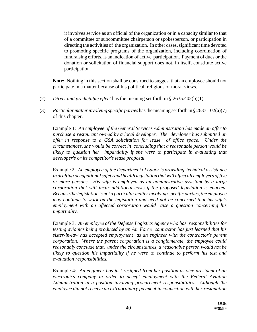it involves service as an official of the organization or in a capacity similar to that of a committee or subcommittee chairperson or spokesperson, or participation in directing the activities of the organization. In other cases, significant time devoted to promoting specific programs of the organization, including coordination of fundraising efforts, is an indication of active participation. Payment of dues or the donation or solicitation of financial support does not, in itself, constitute active participation.

**Note:** Nothing in this section shall be construed to suggest that an employee should not participate in a matter because of his political, religious or moral views.

- (2) *Direct and predictable effect* has the meaning set forth in § 2635.402(b)(1).
- (3) *Particular matter involving specific parties* has the meaning set forth in § 2637.102(a)(7) of this chapter.

Example 1: *An employee of the General Services Administration has made an offer to purchase a restaurant owned by a local developer. The developer has submitted an offer in response to a GSA solicitation for lease of office space. Under the circumstances, she would be correct in concluding that a reasonable person would be likely to question her impartiality if she were to participate in evaluating that developer's or its competitor's lease proposal.* 

Example 2: *An employee of the Department of Labor is providing technical assistance in drafting occupational safety and health legislation that will affect all employers of five or more persons. His wife is employed as an administrative assistant by a large corporation that will incur additional costs if the proposed legislation is enacted. Because the legislation is not a particular matter involving specific parties, the employee may continue to work on the legislation and need not be concerned that his wife's employment with an affected corporation would raise a question concerning his impartiality.* 

Example 3: *An employee of the Defense Logistics Agency who has responsibilities for testing avionics being produced by an Air Force contractor has just learned that his sister-in-law has accepted employment as an engineer with the contractor's parent corporation. Where the parent corporation is a conglomerate, the employee could reasonably conclude that, under the circumstances, a reasonable person would not be likely to question his impartiality if he were to continue to perform his test and evaluation responsibilities.* 

Example 4: *An engineer has just resigned from her position as vice president of an electronics company in order to accept employment with the Federal Aviation Administration in a position involving procurement responsibilities. Although the employee did not receive an extraordinary payment in connection with her resignation*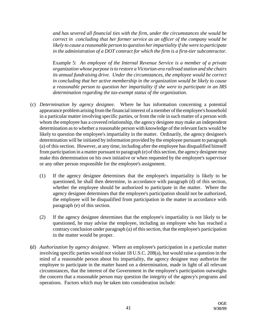*and has severed all financial ties with the firm, under the circumstances she would be correct in concluding that her former service as an officer of the company would be likely to cause a reasonable person to question her impartiality if she were to participate in the administration of a DOT contract for which the firm is a first-tier subcontractor.*

Example 5: *An employee of the Internal Revenue Service is a member of a private organization whose purpose is to restore a Victorian-era railroad station and she chairs its annual fundraising drive. Under the circumstances, the employee would be correct in concluding that her active membership in the organization would be likely to cause a reasonable person to question her impartiality if she were to participate in an IRS determination regarding the tax-exempt status of the organization.* 

- (c) *Determination by agency designee*. Where he has information concerning a potential appearance problem arising from the financial interest of a member of the employee's household in a particular matter involving specific parties, or from the role in such matter of a person with whom the employee has a covered relationship, the agency designee may make an independent determination as to whether a reasonable person with knowledge of the relevant facts would be likely to question the employee's impartiality in the matter. Ordinarily, the agency designee's determination will be initiated by information provided by the employee pursuant to paragraph (a) of this section. However, at any time, including after the employee has disqualified himself from participation in a matter pursuant to paragraph (e) of this section, the agency designee may make this determination on his own initiative or when requested by the employee's supervisor or any other person responsible for the employee's assignment.
	- (1) If the agency designee determines that the employee's impartiality is likely to be questioned, he shall then determine, in accordance with paragraph (d) of this section, whether the employee should be authorized to participate in the matter. Where the agency designee determines that the employee's participation should not be authorized, the employee will be disqualified from participation in the matter in accordance with paragraph (e) of this section.
	- (2) If the agency designee determines that the employee's impartiality is not likely to be questioned, he may advise the employee, including an employee who has reached a contrary conclusion under paragraph (a) of this section, that the employee's participation in the matter would be proper.
- **(**d) *Authorization by agency designee*. Where an employee's participation in a particular matter involving specific parties would not violate 18 U.S.C. 208(a), but would raise a question in the mind of a reasonable person about his impartiality, the agency designee may authorize the employee to participate in the matter based on a determination, made in light of all relevant circumstances, that the interest of the Government in the employee's participation outweighs the concern that a reasonable person may question the integrity of the agency's programs and operations. Factors which may be taken into consideration include: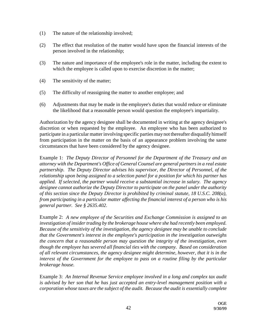- (1) The nature of the relationship involved;
- (2) The effect that resolution of the matter would have upon the financial interests of the person involved in the relationship;
- (3) The nature and importance of the employee's role in the matter, including the extent to which the employee is called upon to exercise discretion in the matter;
- (4) The sensitivity of the matter;
- (5) The difficulty of reassigning the matter to another employee; and
- (6) Adjustments that may be made in the employee's duties that would reduce or eliminate the likelihood that a reasonable person would question the employee's impartiality.

Authorization by the agency designee shall be documented in writing at the agency designee's discretion or when requested by the employee. An employee who has been authorized to participate in a particular matter involving specific parties may not thereafter disqualify himself from participation in the matter on the basis of an appearance problem involving the same circumstances that have been considered by the agency designee.

Example 1: *The Deputy Director of Personnel for the Department of the Treasury and an attorney with the Department's Office of General Counsel are general partners in a real estate partnership. The Deputy Director advises his supervisor, the Director of Personnel, of the relationship upon being assigned to a selection panel for a position for which his partner has applied. If selected, the partner would receive a substantial increase in salary. The agency designee cannot authorize the Deputy Director to participate on the panel under the authority of this section since the Deputy Director is prohibited by criminal statute, 18 U.S.C. 208(a), from participating in a particular matter affecting the financial interest of a person who is his general partner. See § 2635.402.* 

Example 2: *A new employee of the Securities and Exchange Commission is assigned to an investigation of insider trading by the brokerage house where she had recently been employed. Because of the sensitivity of the investigation, the agency designee may be unable to conclude that the Government's interest in the employee's participation in the investigation outweighs the concern that a reasonable person may question the integrity of the investigation, even though the employee has severed all financial ties with the company. Based on consideration of all relevant circumstances, the agency designee might determine, however, that it is in the interest of the Government for the employee to pass on a routine filing by the particular brokerage house.* 

Example 3: *An Internal Revenue Service employee involved in a long and complex tax audit is advised by her son that he has just accepted an entry-level management position with a corporation whose taxes are the subject of the audit. Because the audit is essentially complete*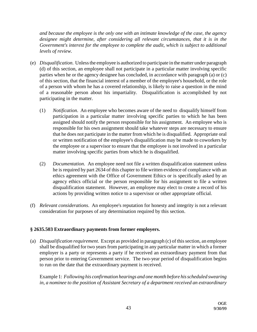*and because the employee is the only one with an intimate knowledge of the case, the agency designee might determine, after considering all relevant circumstances, that it is in the Government's interest for the employee to complete the audit, which is subject to additional levels of review.* 

- (e) *Disqualification*. Unless the employee is authorized to participate in the matter under paragraph (d) of this section, an employee shall not participate in a particular matter involving specific parties when he or the agency designee has concluded, in accordance with paragraph (a) or (c) of this section, that the financial interest of a member of the employee's household, or the role of a person with whom he has a covered relationship, is likely to raise a question in the mind of a reasonable person about his impartiality. Disqualification is accomplished by not participating in the matter.
	- (1) *Notification*. An employee who becomes aware of the need to disqualify himself from participation in a particular matter involving specific parties to which he has been assigned should notify the person responsible for his assignment. An employee who is responsible for his own assignment should take whatever steps are necessary to ensure that he does not participate in the matter from which he is disqualified. Appropriate oral or written notification of the employee's disqualification may be made to coworkers by the employee or a supervisor to ensure that the employee is not involved in a particular matter involving specific parties from which he is disqualified.
	- (2) *Documentation*. An employee need not file a written disqualification statement unless he is required by part 2634 of this chapter to file written evidence of compliance with an ethics agreement with the Office of Government Ethics or is specifically asked by an agency ethics official or the person responsible for his assignment to file a written disqualification statement. However, an employee may elect to create a record of his actions by providing written notice to a supervisor or other appropriate official.
- (f) *Relevant considerations*. An employee's reputation for honesty and integrity is not a relevant consideration for purposes of any determination required by this section.

# **§ 2635.503 Extraordinary payments from former employers.**

(a) *Disqualification requirement*. Except as provided in paragraph (c) of this section, an employee shall be disqualified for two years from participating in any particular matter in which a former employer is a party or represents a party if he received an extraordinary payment from that person prior to entering Government service. The two-year period of disqualification begins to run on the date that the extraordinary payment is received.

Example 1: *Following his confirmation hearings and one month before his scheduled swearing in, a nominee to the position of Assistant Secretary of a department received an extraordinary*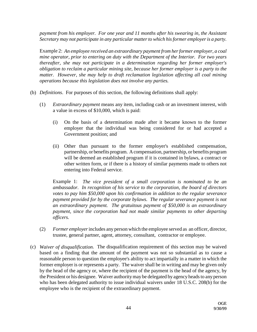*payment from his employer. For one year and 11 months after his swearing in, the Assistant Secretary may not participate in any particular matter to which his former employer is a party.*

Example 2: *An employee received an extraordinary payment from her former employer, a coal mine operator, prior to entering on duty with the Department of the Interior. For two years thereafter, she may not participate in a determination regarding her former employer's obligation to reclaim a particular mining site, because her former employer is a party to the matter. However, she may help to draft reclamation legislation affecting all coal mining operations because this legislation does not involve any parties.* 

- (b) *Definitions*. For purposes of this section, the following definitions shall apply:
	- (1) *Extraordinary payment* means any item, including cash or an investment interest, with a value in excess of \$10,000, which is paid:
		- (i) On the basis of a determination made after it became known to the former employer that the individual was being considered for or had accepted a Government position; and
		- (ii) Other than pursuant to the former employer's established compensation, partnership, or benefits program. A compensation, partnership, or benefits program will be deemed an established program if it is contained in bylaws, a contract or other written form, or if there is a history of similar payments made to others not entering into Federal service.

Example 1: *The vice president of a small corporation is nominated to be an ambassador. In recognition of his service to the corporation, the board of directors votes to pay him \$50,000 upon his confirmation in addition to the regular severance payment provided for by the corporate bylaws. The regular severance payment is not an extraordinary payment. The gratuitous payment of \$50,000 is an extraordinary payment, since the corporation had not made similar payments to other departing officers.* 

- (2) *Former employer* includes any person which the employee served as an officer, director, trustee, general partner, agent, attorney, consultant, contractor or employee.
- (c) *Waiver of disqualification*. The disqualification requirement of this section may be waived based on a finding that the amount of the payment was not so substantial as to cause a reasonable person to question the employee's ability to act impartially in a matter in which the former employer is or represents a party. The waiver shall be in writing and may be given only by the head of the agency or, where the recipient of the payment is the head of the agency, by the President or his designee. Waiver authority may be delegated by agency heads to any person who has been delegated authority to issue individual waivers under 18 U.S.C. 208(b) for the employee who is the recipient of the extraordinary payment.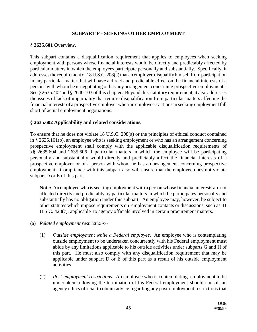## **SUBPART F - SEEKING OTHER EMPLOYMENT**

## **§ 2635.601 Overview.**

This subpart contains a disqualification requirement that applies to employees when seeking employment with persons whose financial interests would be directly and predictably affected by particular matters in which the employees participate personally and substantially. Specifically, it addresses the requirement of 18 U.S.C. 208(a) that an employee disqualify himself from participation in any particular matter that will have a direct and predictable effect on the financial interests of a person "with whom he is negotiating or has any arrangement concerning prospective employment." See § 2635.402 and § 2640.103 of this chapter. Beyond this statutory requirement, it also addresses the issues of lack of impartiality that require disqualification from particular matters affecting the financial interests of a prospective employer when an employee's actions in seeking employment fall short of actual employment negotiations.

## **§ 2635.602 Applicability and related considerations.**

To ensure that he does not violate 18 U.S.C. 208(a) or the principles of ethical conduct contained in § 2635.101(b), an employee who is seeking employment or who has an arrangement concerning prospective employment shall comply with the applicable disqualification requirements of §§ 2635.604 and 2635.606 if particular matters in which the employee will be participating personally and substantially would directly and predictably affect the financial interests of a prospective employer or of a person with whom he has an arrangement concerning prospective employment. Compliance with this subpart also will ensure that the employee does not violate subpart D or E of this part.

**Note:** An employee who is seeking employment with a person whose financial interests are not affected directly and predictably by particular matters in which he participates personally and substantially has no obligation under this subpart. An employee may, however, be subject to other statutes which impose requirements on employment contacts or discussions, such as 41 U.S.C. 423(c), applicable to agency officials involved in certain procurement matters.

- (a) *Related employment restrictions*--
	- (1) *Outside employment while a Federal employee*. An employee who is contemplating outside employment to be undertaken concurrently with his Federal employment must abide by any limitations applicable to his outside activities under subparts G and H of this part. He must also comply with any disqualification requirement that may be applicable under subpart D or E of this part as a result of his outside employment activities.
	- (2) *Post-employment restrictions*. An employee who is contemplating employment to be undertaken following the termination of his Federal employment should consult an agency ethics official to obtain advice regarding any post-employment restrictions that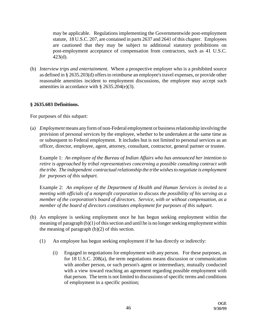may be applicable. Regulations implementing the Governmentwide post-employment statute, 18 U.S.C. 207, are contained in parts 2637 and 2641 of this chapter. Employees are cautioned that they may be subject to additional statutory prohibitions on post-employment acceptance of compensation from contractors, such as 41 U.S.C. 423(d).

(b) *Interview trips and entertainment*. Where a prospective employer who is a prohibited source as defined in § 2635.203(d) offers to reimburse an employee's travel expenses, or provide other reasonable amenities incident to employment discussions, the employee may accept such amenities in accordance with § 2635.204(e)(3).

## **§ 2635.603 Definitions.**

For purposes of this subpart:

(a) *Employment* means any form of non-Federal employment or business relationship involving the provision of personal services by the employee, whether to be undertaken at the same time as or subsequent to Federal employment. It includes but is not limited to personal services as an officer, director, employee, agent, attorney, consultant, contractor, general partner or trustee.

Example 1: *An employee of the Bureau of Indian Affairs who has announced her intention to retire is approached by tribal representatives concerning a possible consulting contract with the tribe. The independent contractual relationship the tribe wishes to negotiate is employment for purposes of this subpart.* 

Example 2: *An employee of the Department of Health and Human Services is invited to a meeting with officials of a nonprofit corporation to discuss the possibility of his serving as a member of the corporation's board of directors. Service, with or without compensation, as a member of the board of directors constitutes employment for purposes of this subpart.* 

- (b) An employee is seeking employment once he has begun seeking employment within the meaning of paragraph (b)(1) of this section and until he is no longer seeking employment within the meaning of paragraph  $(b)(2)$  of this section.
	- (1) An employee has begun seeking employment if he has directly or indirectly:
		- (i) Engaged in negotiations for employment with any person. For these purposes, as for 18 U.S.C. 208(a), the term negotiations means discussion or communication with another person, or such person's agent or intermediary, mutually conducted with a view toward reaching an agreement regarding possible employment with that person. The term is not limited to discussions of specific terms and conditions of employment in a specific position;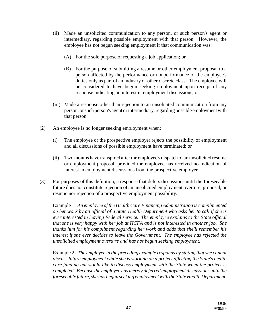- (ii) Made an unsolicited communication to any person, or such person's agent or intermediary, regarding possible employment with that person. However, the employee has not begun seeking employment if that communication was:
	- (A) For the sole purpose of requesting a job application; or
	- (B) For the purpose of submitting a resume or other employment proposal to a person affected by the performance or nonperformance of the employee's duties only as part of an industry or other discrete class. The employee will be considered to have begun seeking employment upon receipt of any response indicating an interest in employment discussions; or
- (iii) Made a response other than rejection to an unsolicited communication from any person, or such person's agent or intermediary, regarding possible employment with that person.
- (2) An employee is no longer seeking employment when:
	- (i) The employee or the prospective employer rejects the possibility of employment and all discussions of possible employment have terminated; or
	- (ii) Two months have transpired after the employee's dispatch of an unsolicited resume or employment proposal, provided the employee has received no indication of interest in employment discussions from the prospective employer.
- (3) For purposes of this definition, a response that defers discussions until the foreseeable future does not constitute rejection of an unsolicited employment overture, proposal, or resume nor rejection of a prospective employment possibility.

Example 1: *An employee of the Health Care Financing Administration is complimented on her work by an official of a State Health Department who asks her to call if she is ever interested in leaving Federal service. The employee explains to the State official that she is very happy with her job at HCFA and is not interested in another job. She thanks him for his compliment regarding her work and adds that she'll remember his interest if she ever decides to leave the Government. The employee has rejected the unsolicited employment overture and has not begun seeking employment.* 

Example 2: *The employee in the preceding example responds by stating that she cannot discuss future employment while she is working on a project affecting the State's health care funding but would like to discuss employment with the State when the project is completed. Because the employee has merely deferred employment discussions until the foreseeable future, she has begun seeking employment with the State Health Department.*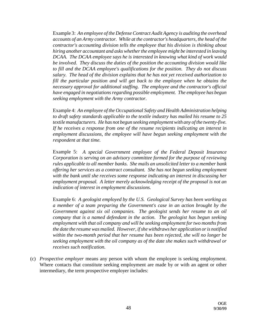Example 3: *An employee of the Defense Contract Audit Agency is auditing the overhead accounts of an Army contractor. While at the contractor's headquarters, the head of the contractor's accounting division tells the employee that his division is thinking about hiring another accountant and asks whether the employee might be interested in leaving DCAA. The DCAA employee says he is interested in knowing what kind of work would be involved. They discuss the duties of the position the accounting division would like to fill and the DCAA employee's qualifications for the position. They do not discuss salary. The head of the division explains that he has not yet received authorization to fill the particular position and will get back to the employee when he obtains the necessary approval for additional staffing. The employee and the contractor's official have engaged in negotiations regarding possible employment. The employee has begun seeking employment with the Army contractor*.

Example 4: *An employee of the Occupational Safety and Health Administration helping to draft safety standards applicable to the textile industry has mailed his resume to 25 textile manufacturers. He has not begun seeking employment with any of the twenty-five. If he receives a response from one of the resume recipients indicating an interest in employment discussions, the employee will have begun seeking employment with the respondent at that time.* 

Example 5: *A special Government employee of the Federal Deposit Insurance Corporation is serving on an advisory committee formed for the purpose of reviewing rules applicable to all member banks. She mails an unsolicited letter to a member bank offering her services as a contract consultant. She has not begun seeking employment with the bank until she receives some response indicating an interest in discussing her employment proposal. A letter merely acknowledging receipt of the proposal is not an indication of interest in employment discussions.* 

Example 6: *A geologist employed by the U.S. Geological Survey has been working as a member of a team preparing the Government's case in an action brought by the Government against six oil companies. The geologist sends her resume to an oil company that is a named defendant in the action. The geologist has begun seeking employment with that oil company and will be seeking employment for two months from the date the resume was mailed. However, if she withdraws her application or is notified within the two-month period that her resume has been rejected, she will no longer be seeking employment with the oil company as of the date she makes such withdrawal or receives such notification.* 

(c) *Prospective employer* means any person with whom the employee is seeking employment. Where contacts that constitute seeking employment are made by or with an agent or other intermediary, the term prospective employer includes: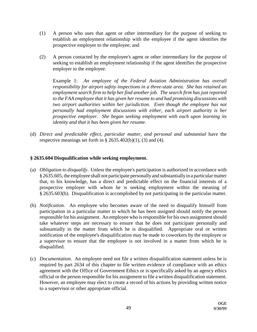- (1) A person who uses that agent or other intermediary for the purpose of seeking to establish an employment relationship with the employee if the agent identifies the prospective employer to the employee; and
- (2) A person contacted by the employee's agent or other intermediary for the purpose of seeking to establish an employment relationship if the agent identifies the prospective employer to the employee.

Example 1: *An employee of the Federal Aviation Administration has overall responsibility for airport safety inspections in a three-state area. She has retained an employment search firm to help her find another job. The search firm has just reported to the FAA employee that it has given her resume to and had promising discussions with two airport authorities within her jurisdiction. Even though the employee has not personally had employment discussions with either, each airport authority is her prospective employer. She began seeking employment with each upon learning its identity and that it has been given her resume.* 

(d) *Direct and predictable effect, particular matter, and personal and substantial* have the respective meanings set forth in  $\S 2635.402(b)(1)$ , (3) and (4).

## **§ 2635.604 Disqualification while seeking employment.**

- (a) *Obligation to disqualify*. Unless the employee's participation is authorized in accordance with § 2635.605, the employee shall not participate personally and substantially in a particular matter that, to his knowledge, has a direct and predictable effect on the financial interests of a prospective employer with whom he is seeking employment within the meaning of § 2635.603(b). Disqualification is accomplished by not participating in the particular matter.
- (b) *Notification*. An employee who becomes aware of the need to disqualify himself from participation in a particular matter to which he has been assigned should notify the person responsible for his assignment. An employee who is responsible for his own assignment should take whatever steps are necessary to ensure that he does not participate personally and substantially in the matter from which he is disqualified. Appropriate oral or written notification of the employee's disqualification may be made to coworkers by the employee or a supervisor to ensure that the employee is not involved in a matter from which he is disqualified.
- (c) *Documentation*. An employee need not file a written disqualification statement unless he is required by part 2634 of this chapter to file written evidence of compliance with an ethics agreement with the Office of Government Ethics or is specifically asked by an agency ethics official or the person responsible for his assignment to file a written disqualification statement. However, an employee may elect to create a record of his actions by providing written notice to a supervisor or other appropriate official.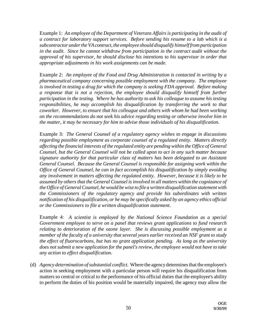Example 1: *An employee of the Department of Veterans Affairs is participating in the audit of a contract for laboratory support services. Before sending his resume to a lab which is a subcontractor under the VA contract, the employee should disqualify himself from participation in the audit. Since he cannot withdraw from participation in the contract audit without the approval of his supervisor, he should disclose his intentions to his supervisor in order that appropriate adjustments in his work assignments can be made.* 

Example 2: *An employee of the Food and Drug Administration is contacted in writing by a pharmaceutical company concerning possible employment with the company. The employee is involved in testing a drug for which the company is seeking FDA approval. Before making a response that is not a rejection, the employee should disqualify himself from further participation in the testing. Where he has authority to ask his colleague to assume his testing responsibilities, he may accomplish his disqualification by transferring the work to that coworker. However, to ensure that his colleague and others with whom he had been working on the recommendations do not seek his advice regarding testing or otherwise involve him in the matter, it may be necessary for him to advise those individuals of his disqualification.* 

Example 3: *The General Counsel of a regulatory agency wishes to engage in discussions regarding possible employment as corporate counsel of a regulated entity. Matters directly affecting the financial interests of the regulated entity are pending within the Office of General Counsel, but the General Counsel will not be called upon to act in any such matter because signature authority for that particular class of matters has been delegated to an Assistant General Counsel. Because the General Counsel is responsible for assigning work within the Office of General Counsel, he can in fact accomplish his disqualification by simply avoiding any involvement in matters affecting the regulated entity. However, because it is likely to be assumed by others that the General Counsel is involved in all matters within the cognizance of the Office of General Counsel, he would be wise to file a written disqualification statement with the Commissioners of the regulatory agency and provide his subordinates with written notification of his disqualification, or he may be specifically asked by an agency ethics official or the Commissioners to file a written disqualification statement*.

Example 4: *A scientist is employed by the National Science Foundation as a special Government employee to serve on a panel that reviews grant applications to fund research relating to deterioration of the ozone layer. She is discussing possible employment as a member of the faculty of a university that several years earlier received an NSF grant to study the effect of fluorocarbons, but has no grant application pending. As long as the university does not submit a new application for the panel's review, the employee would not have to take any action to effect disqualification.* 

(d) *Agency determination of substantial conflict*. Where the agency determines that the employee's action in seeking employment with a particular person will require his disqualification from matters so central or critical to the performance of his official duties that the employee's ability to perform the duties of his position would be materially impaired, the agency may allow the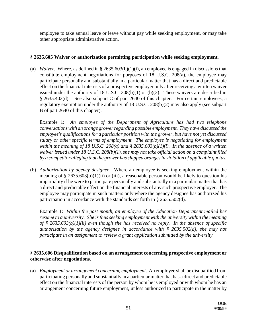employee to take annual leave or leave without pay while seeking employment, or may take other appropriate administrative action.

# **§ 2635.605 Waiver or authorization permitting participation while seeking employment.**

(a) *Waiver*. Where, as defined in § 2635.603(b)(1)(i), an employee is engaged in discussions that constitute employment negotiations for purposes of 18 U.S.C. 208(a), the employee may participate personally and substantially in a particular matter that has a direct and predictable effect on the financial interests of a prospective employer only after receiving a written waiver issued under the authority of 18 U.S.C. 208(b)(1) or (b)(3). These waivers are described in § 2635.402(d). See also subpart C of part 2640 of this chapter. For certain employees, a regulatory exemption under the authority of 18 U.S.C. 208(b)(2) may also apply (see subpart B of part 2640 of this chapter).

Example 1: *An employee of the Department of Agriculture has had two telephone conversations with an orange grower regarding possible employment. They have discussed the employee's qualifications for a particular position with the grower, but have not yet discussed salary or other specific terms of employment. The employee is negotiating for employment within the meaning of 18 U.S.C. 208(a) and § 2635.603(b)(1)(i). In the absence of a written waiver issued under 18 U.S.C. 208(b)(1), she may not take official action on a complaint filed by a competitor alleging that the grower has shipped oranges in violation of applicable quotas.*

(b) *Authorization by agency designee*. Where an employee is seeking employment within the meaning of  $\S 2635.603(b)(1)(ii)$  or (iii), a reasonable person would be likely to question his impartiality if he were to participate personally and substantially in a particular matter that has a direct and predictable effect on the financial interests of any such prospective employer. The employee may participate in such matters only where the agency designee has authorized his participation in accordance with the standards set forth in § 2635.502(d).

Example 1: *Within the past month, an employee of the Education Department mailed her resume to a university. She is thus seeking employment with the university within the meaning of § 2635.603(b)(1)(ii) even though she has received no reply. In the absence of specific authorization by the agency designee in accordance with § 2635.502(d), she may not participate in an assignment to review a grant application submitted by the university.* 

## **§ 2635.606 Disqualification based on an arrangement concerning prospective employment or otherwise after negotiations.**

(a) *Employment or arrangement concerning employment*. An employee shall be disqualified from participating personally and substantially in a particular matter that has a direct and predictable effect on the financial interests of the person by whom he is employed or with whom he has an arrangement concerning future employment, unless authorized to participate in the matter by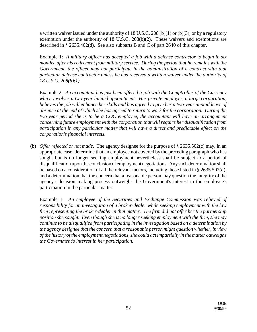a written waiver issued under the authority of 18 U.S.C. 208 (b)(1) or (b)(3), or by a regulatory exemption under the authority of 18 U.S.C. 208(b)(2). These waivers and exemptions are described in § 2635.402(d). See also subparts B and C of part 2640 of this chapter.

Example 1: *A military officer has accepted a job with a defense contractor to begin in six months, after his retirement from military service. During the period that he remains with the Government, the officer may not participate in the administration of a contract with that particular defense contractor unless he has received a written waiver under the authority of 18 U.S.C. 208(b)(1).* 

Example 2: *An accountant has just been offered a job with the Comptroller of the Currency which involves a two-year limited appointment. Her private employer, a large corporation, believes the job will enhance her skills and has agreed to give her a two-year unpaid leave of absence at the end of which she has agreed to return to work for the corporation. During the two-year period she is to be a COC employee, the accountant will have an arrangement concerning future employment with the corporation that will require her disqualification from participation in any particular matter that will have a direct and predictable effect on the corporation's financial interests.* 

(b) *Offer rejected or not made*. The agency designee for the purpose of § 2635.502(c) may, in an appropriate case, determine that an employee not covered by the preceding paragraph who has sought but is no longer seeking employment nevertheless shall be subject to a period of disqualification upon the conclusion of employment negotiations. Any such determination shall be based on a consideration of all the relevant factors, including those listed in § 2635.502(d), and a determination that the concern that a reasonable person may question the integrity of the agency's decision making process outweighs the Government's interest in the employee's participation in the particular matter.

Example 1: *An employee of the Securities and Exchange Commission was relieved of responsibility for an investigation of a broker-dealer while seeking employment with the law firm representing the broker-dealer in that matter. The firm did not offer her the partnership position she sought. Even though she is no longer seeking employment with the firm, she may continue to be disqualified from participating in the investigation based on a determination by the agency designee that the concern that a reasonable person might question whether, in view of the history of the employment negotiations, she could act impartially in the matter outweighs the Government's interest in her participation.*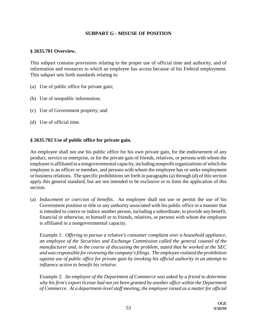## **SUBPART G - MISUSE OF POSITION**

### **§ 2635.701 Overview.**

This subpart contains provisions relating to the proper use of official time and authority, and of information and resources to which an employee has access because of his Federal employment. This subpart sets forth standards relating to:

- (a) Use of public office for private gain;
- (b) Use of nonpublic information;
- (c) Use of Government property; and
- (d) Use of official time.

#### **§ 2635.702 Use of public office for private gain.**

An employee shall not use his public office for his own private gain, for the endorsement of any product, service or enterprise, or for the private gain of friends, relatives, or persons with whom the employee is affiliated in a nongovernmental capacity, including nonprofit organizations of which the employee is an officer or member, and persons with whom the employee has or seeks employment or business relations. The specific prohibitions set forth in paragraphs (a) through (d) of this section apply this general standard, but are not intended to be exclusive or to limit the application of this section.

(a) *Inducement or coercion of benefits*. An employee shall not use or permit the use of his Government position or title or any authority associated with his public office in a manner that is intended to coerce or induce another person, including a subordinate, to provide any benefit, financial or otherwise, to himself or to friends, relatives, or persons with whom the employee is affiliated in a nongovernmental capacity.

Example 1: *Offering to pursue a relative's consumer complaint over a household appliance, an employee of the Securities and Exchange Commission called the general counsel of the manufacturer and, in the course of discussing the problem, stated that he worked at the SEC and was responsible for reviewing the company's filings. The employee violated the prohibition against use of public office for private gain by invoking his official authority in an attempt to influence action to benefit his relative.* 

Example 2: *An employee of the Department of Commerce was asked by a friend to determine why his firm's export license had not yet been granted by another office within the Department of Commerce. At a department-level staff meeting, the employee raised as a matter for official*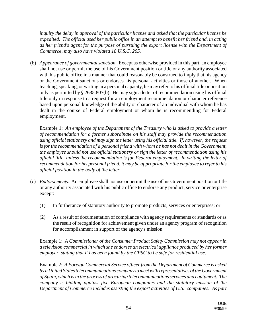*inquiry the delay in approval of the particular license and asked that the particular license be expedited. The official used her public office in an attempt to benefit her friend and, in acting as her friend's agent for the purpose of pursuing the export license with the Department of Commerce, may also have violated 18 U.S.C. 205.* 

(b) *Appearance of governmental sanction*. Except as otherwise provided in this part, an employee shall not use or permit the use of his Government position or title or any authority associated with his public office in a manner that could reasonably be construed to imply that his agency or the Government sanctions or endorses his personal activities or those of another. When teaching, speaking, or writing in a personal capacity, he may refer to his official title or position only as permitted by § 2635.807(b). He may sign a letter of recommendation using his official title only in response to a request for an employment recommendation or character reference based upon personal knowledge of the ability or character of an individual with whom he has dealt in the course of Federal employment or whom he is recommending for Federal employment.

Example 1: *An employee of the Department of the Treasury who is asked to provide a letter of recommendation for a former subordinate on his staff may provide the recommendation using official stationery and may sign the letter using his official title. If, however, the request is for the recommendation of a personal friend with whom he has not dealt in the Government, the employee should not use official stationery or sign the letter of recommendation using his official title, unless the recommendation is for Federal employment. In writing the letter of recommendation for his personal friend, it may be appropriate for the employee to refer to his official position in the body of the letter.* 

- (c) *Endorsements*. An employee shall not use or permit the use of his Government position or title or any authority associated with his public office to endorse any product, service or enterprise except:
	- (1) In furtherance of statutory authority to promote products, services or enterprises; or
	- (2) As a result of documentation of compliance with agency requirements or standards or as the result of recognition for achievement given under an agency program of recognition for accomplishment in support of the agency's mission.

Example 1: *A Commissioner of the Consumer Product Safety Commission may not appear in a television commercial in which she endorses an electrical appliance produced by her former employer, stating that it has been found by the CPSC to be safe for residential use.* 

Example 2: *A Foreign Commercial Service officer from the Department of Commerce is asked by a United States telecommunications company to meet with representatives of the Government of Spain, which is in the process of procuring telecommunications services and equipment. The company is bidding against five European companies and the statutory mission of the Department of Commerce includes assisting the export activities of U.S. companies. As part*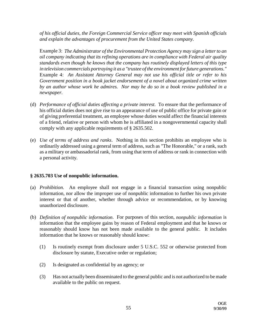*of his official duties, the Foreign Commercial Service officer may meet with Spanish officials and explain the advantages of procurement from the United States company.* 

Example 3: *The Administrator of the Environmental Protection Agency may sign a letter to an oil company indicating that its refining operations are in compliance with Federal air quality standards even though he knows that the company has routinely displayed letters of this type in television commercials portraying it as a "trustee of the environment for future generations."* Example 4: *An Assistant Attorney General may not use his official title or refer to his Government position in a book jacket endorsement of a novel about organized crime written by an author whose work he admires. Nor may he do so in a book review published in a newspaper.* 

- (d) *Performance of official duties affecting a private interest*. To ensure that the performance of his official duties does not give rise to an appearance of use of public office for private gain or of giving preferential treatment, an employee whose duties would affect the financial interests of a friend, relative or person with whom he is affiliated in a nongovernmental capacity shall comply with any applicable requirements of § 2635.502.
- (e) *Use of terms of address and ranks*. Nothing in this section prohibits an employee who is ordinarily addressed using a general term of address, such as "The Honorable," or a rank, such as a military or ambassadorial rank, from using that term of address or rank in connection with a personal activity.

## **§ 2635.703 Use of nonpublic information.**

- (a) *Prohibition*. An employee shall not engage in a financial transaction using nonpublic information, nor allow the improper use of nonpublic information to further his own private interest or that of another, whether through advice or recommendation, or by knowing unauthorized disclosure.
- (b) *Definition of nonpublic information*. For purposes of this section, *nonpublic information* is information that the employee gains by reason of Federal employment and that he knows or reasonably should know has not been made available to the general public. It includes information that he knows or reasonably should know:
	- (1) Is routinely exempt from disclosure under 5 U.S.C. 552 or otherwise protected from disclosure by statute, Executive order or regulation;
	- (2) Is designated as confidential by an agency; or
	- (3) Has not actually been disseminated to the general public and is not authorized to be made available to the public on request.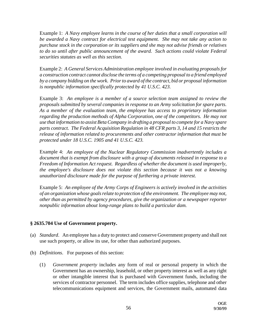Example 1: *A Navy employee learns in the course of her duties that a small corporation will be awarded a Navy contract for electrical test equipment. She may not take any action to purchase stock in the corporation or its suppliers and she may not advise friends or relatives to do so until after public announcement of the award. Such actions could violate Federal securities statutes as well as this section.* 

Example 2: *A General Services Administration employee involved in evaluating proposals for a construction contract cannot disclose the terms of a competing proposal to a friend employed by a company bidding on the work. Prior to award of the contract, bid or proposal information is nonpublic information specifically protected by 41 U.S.C. 423.* 

Example 3: *An employee is a member of a source selection team assigned to review the proposals submitted by several companies in response to an Army solicitation for spare parts. As a member of the evaluation team, the employee has access to proprietary information regarding the production methods of Alpha Corporation, one of the competitors. He may not use that information to assist Beta Company in drafting a proposal to compete for a Navy spare parts contract. The Federal Acquisition Regulation in 48 CFR parts 3, 14 and 15 restricts the release of information related to procurements and other contractor information that must be protected under 18 U.S.C. 1905 and 41 U.S.C. 423.* 

Example 4: *An employee of the Nuclear Regulatory Commission inadvertently includes a document that is exempt from disclosure with a group of documents released in response to a Freedom of Information Act request. Regardless of whether the document is used improperly, the employee's disclosure does not violate this section because it was not a knowing unauthorized disclosure made for the purpose of furthering a private interest.* 

Example 5: *An employee of the Army Corps of Engineers is actively involved in the activities of an organization whose goals relate to protection of the environment. The employee may not, other than as permitted by agency procedures, give the organization or a newspaper reporter nonpublic information about long-range plans to build a particular dam.* 

## **§ 2635.704 Use of Government property.**

- (a) *Standard*. An employee has a duty to protect and conserve Government property and shall not use such property, or allow its use, for other than authorized purposes.
- (b) *Definitions*. For purposes of this section:
	- (1) *Government property* includes any form of real or personal property in which the Government has an ownership, leasehold, or other property interest as well as any right or other intangible interest that is purchased with Government funds, including the services of contractor personnel. The term includes office supplies, telephone and other telecommunications equipment and services, the Government mails, automated data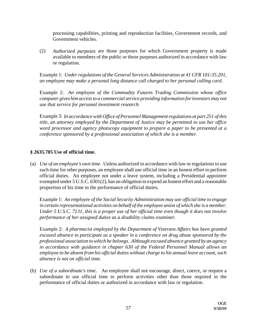processing capabilities, printing and reproduction facilities, Government records, and Government vehicles.

(2) *Authorized purposes* are those purposes for which Government property is made available to members of the public or those purposes authorized in accordance with law or regulation.

Example 1: *Under regulations of the General Services Administration at 41 CFR 101-35.201, an employee may make a personal long distance call charged to her personal calling card.* 

Example 2: *An employee of the Commodity Futures Trading Commission whose office computer gives him access to a commercial service providing information for investors may not use that service for personal investment research.* 

Example 3: *In accordance with Office of Personnel Management regulations at part 251 of this title, an attorney employed by the Department of Justice may be permitted to use her office word processor and agency photocopy equipment to prepare a paper to be presented at a conference sponsored by a professional association of which she is a member.* 

## **§ 2635.705 Use of official time.**

(a) *Use of an employee's own time*. Unless authorized in accordance with law or regulations to use such time for other purposes, an employee shall use official time in an honest effort to perform official duties. An employee not under a leave system, including a Presidential appointee exempted under 5 U.S.C. 6301(2), has an obligation to expend an honest effort and a reasonable proportion of his time in the performance of official duties.

Example 1: *An employee of the Social Security Administration may use official time to engage in certain representational activities on behalf of the employee union of which she is a member. Under 5 U.S.C. 7131, this is a proper use of her official time even though it does not involve performance of her assigned duties as a disability claims examiner.* 

Example 2: *A pharmacist employed by the Department of Veterans Affairs has been granted excused absence to participate as a speaker in a conference on drug abuse sponsored by the professional association to which he belongs. Although excused absence granted by an agency in accordance with guidance in chapter 630 of the Federal Personnel Manual allows an employee to be absent from his official duties without charge to his annual leave account, such absence is not on official time.* 

(b) *Use of a subordinate's time*. An employee shall not encourage, direct, coerce, or request a subordinate to use official time to perform activities other than those required in the performance of official duties or authorized in accordance with law or regulation.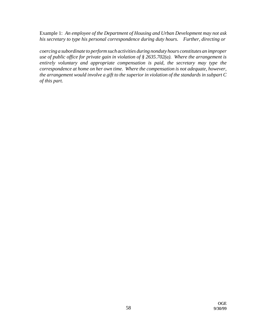Example 1: *An employee of the Department of Housing and Urban Development may not ask his secretary to type his personal correspondence during duty hours. Further, directing or*

*coercing a subordinate to perform such activities during nonduty hours constitutes an improper use of public office for private gain in violation of § 2635.702(a). Where the arrangement is entirely voluntary and appropriate compensation is paid, the secretary may type the correspondence at home on her own time. Where the compensation is not adequate, however, the arrangement would involve a gift to the superior in violation of the standards in subpart C of this part.*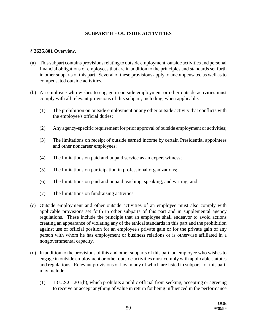## **SUBPART H - OUTSIDE ACTIVITIES**

#### **§ 2635.801 Overview.**

- (a) This subpart contains provisions relating to outside employment, outside activities and personal financial obligations of employees that are in addition to the principles and standards set forth in other subparts of this part. Several of these provisions apply to uncompensated as well as to compensated outside activities.
- (b) An employee who wishes to engage in outside employment or other outside activities must comply with all relevant provisions of this subpart, including, when applicable:
	- (1) The prohibition on outside employment or any other outside activity that conflicts with the employee's official duties;
	- (2) Any agency-specific requirement for prior approval of outside employment or activities;
	- (3) The limitations on receipt of outside earned income by certain Presidential appointees and other noncareer employees;
	- (4) The limitations on paid and unpaid service as an expert witness;
	- (5) The limitations on participation in professional organizations;
	- (6) The limitations on paid and unpaid teaching, speaking, and writing; and
	- (7) The limitations on fundraising activities.
- (c) Outside employment and other outside activities of an employee must also comply with applicable provisions set forth in other subparts of this part and in supplemental agency regulations. These include the principle that an employee shall endeavor to avoid actions creating an appearance of violating any of the ethical standards in this part and the prohibition against use of official position for an employee's private gain or for the private gain of any person with whom he has employment or business relations or is otherwise affiliated in a nongovernmental capacity.
- (d) In addition to the provisions of this and other subparts of this part, an employee who wishes to engage in outside employment or other outside activities must comply with applicable statutes and regulations. Relevant provisions of law, many of which are listed in subpart I of this part, may include:
	- (1) 18 U.S.C. 201(b), which prohibits a public official from seeking, accepting or agreeing to receive or accept anything of value in return for being influenced in the performance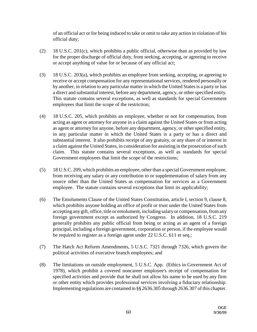of an official act or for being induced to take or omit to take any action in violation of his official duty;

- (2) 18 U.S.C. 201(c), which prohibits a public official, otherwise than as provided by law for the proper discharge of official duty, from seeking, accepting, or agreeing to receive or accept anything of value for or because of any official act;
- (3) 18 U.S.C. 203(a), which prohibits an employee from seeking, accepting, or agreeing to receive or accept compensation for any representational services, rendered personally or by another, in relation to any particular matter in which the United States is a party or has a direct and substantial interest, before any department, agency, or other specified entity. This statute contains several exceptions, as well as standards for special Government employees that limit the scope of the restriction;
- (4) 18 U.S.C. 205, which prohibits an employee, whether or not for compensation, from acting as agent or attorney for anyone in a claim against the United States or from acting as agent or attorney for anyone, before any department, agency, or other specified entity, in any particular matter in which the United States is a party or has a direct and substantial interest. It also prohibits receipt of any gratuity, or any share of or interest in a claim against the United States, in consideration for assisting in the prosecution of such claim. This statute contains several exceptions, as well as standards for special Government employees that limit the scope of the restrictions;
- (5) 18 U.S.C. 209, which prohibits an employee, other than a special Government employee, from receiving any salary or any contribution to or supplementation of salary from any source other than the United States as compensation for services as a Government employee. The statute contains several exceptions that limit its applicability;
- (6) The Emoluments Clause of the United States Constitution, article I, section 9, clause 8, which prohibits anyone holding an office of profit or trust under the United States from accepting any gift, office, title or emolument, including salary or compensation, from any foreign government except as authorized by Congress. In addition, 18 U.S.C. 219 generally prohibits any public official from being or acting as an agent of a foreign principal, including a foreign government, corporation or person, if the employee would be required to register as a foreign agent under 22 U.S.C. 611 et seq.;
- (7) The Hatch Act Reform Amendments, 5 U.S.C. 7321 through 7326, which govern the political activities of executive branch employees; and
- (8) The limitations on outside employment, 5 U.S.C. App. (Ethics in Government Act of 1978), which prohibit a covered noncareer employee's receipt of compensation for specified activities and provide that he shall not allow his name to be used by any firm or other entity which provides professional services involving a fiduciary relationship. Implementing regulations are contained in §§ 2636.305 through 2636.307 of this chapter.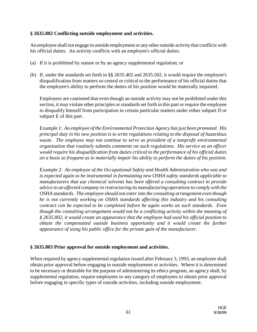## **§ 2635.802 Conflicting outside employment and activities.**

An employee shall not engage in outside employment or any other outside activity that conflicts with his official duties. An activity conflicts with an employee's official duties:

- (a) If it is prohibited by statute or by an agency supplemental regulation; or
- (b) If, under the standards set forth in §§ 2635.402 and 2635.502, it would require the employee's disqualification from matters so central or critical to the performance of his official duties that the employee's ability to perform the duties of his position would be materially impaired.

Employees are cautioned that even though an outside activity may not be prohibited under this section, it may violate other principles or standards set forth in this part or require the employee to disqualify himself from participation in certain particular matters under either subpart D or subpart E of this part.

Example 1: *An employee of the Environmental Protection Agency has just been promoted. His principal duty in his new position is to write regulations relating to the disposal of hazardous waste. The employee may not continue to serve as president of a nonprofit environmental organization that routinely submits comments on such regulations. His service as an officer would require his disqualification from duties critical to the performance of his official duties on a basis so frequent as to materially impair his ability to perform the duties of his position.*

Example 2: *An employee of the Occupational Safety and Health Administration who was and is expected again to be instrumental in formulating new OSHA safety standards applicable to manufacturers that use chemical solvents has been offered a consulting contract to provide advice to an affected company in restructuring its manufacturing operations to comply with the OSHA standards. The employee should not enter into the consulting arrangement even though he is not currently working on OSHA standards affecting this industry and his consulting contract can be expected to be completed before he again works on such standards. Even though the consulting arrangement would not be a conflicting activity within the meaning of § 2635.802, it would create an appearance that the employee had used his official position to obtain the compensated outside business opportunity and it would create the further appearance of using his public office for the private gain of the manufacturer*.

## **§ 2635.803 Prior approval for outside employment and activities.**

When required by agency supplemental regulation issued after February 3, 1993, an employee shall obtain prior approval before engaging in outside employment or activities. Where it is determined to be necessary or desirable for the purpose of administering its ethics program, an agency shall, by supplemental regulation, require employees or any category of employees to obtain prior approval before engaging in specific types of outside activities, including outside employment.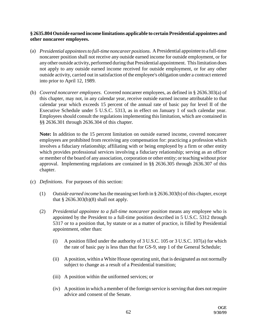## **§ 2635.804 Outside earned income limitations applicable to certain Presidential appointees and other noncareer employees.**

- (a) *Presidential appointees to full-time noncareer positions*. A Presidential appointee to a full-time noncareer position shall not receive any outside earned income for outside employment, or for any other outside activity, performed during that Presidential appointment. This limitation does not apply to any outside earned income received for outside employment, or for any other outside activity, carried out in satisfaction of the employee's obligation under a contract entered into prior to April 12, 1989.
- (b) *Covered noncareer employees*. Covered noncareer employees, as defined in § 2636.303(a) of this chapter, may not, in any calendar year, receive outside earned income attributable to that calendar year which exceeds 15 percent of the annual rate of basic pay for level II of the Executive Schedule under 5 U.S.C. 5313, as in effect on January 1 of such calendar year. Employees should consult the regulations implementing this limitation, which are contained in §§ 2636.301 through 2636.304 of this chapter.

**Note:** In addition to the 15 percent limitation on outside earned income, covered noncareer employees are prohibited from receiving any compensation for: practicing a profession which involves a fiduciary relationship; affiliating with or being employed by a firm or other entity which provides professional services involving a fiduciary relationship; serving as an officer or member of the board of any association, corporation or other entity; or teaching without prior approval. Implementing regulations are contained in §§ 2636.305 through 2636.307 of this chapter.

- (c) *Definitions*. For purposes of this section:
	- (1) *Outside earned income* has the meaning set forth in § 2636.303(b) of this chapter, except that  $§$  2636.303(b)(8) shall not apply.
	- (2) *Presidential appointee to a full-time noncareer position* means any employee who is appointed by the President to a full-time position described in 5 U.S.C. 5312 through 5317 or to a position that, by statute or as a matter of practice, is filled by Presidential appointment, other than:
		- (i) A position filled under the authority of 3 U.S.C. 105 or 3 U.S.C. 107(a) for which the rate of basic pay is less than that for GS-9, step 1 of the General Schedule;
		- (ii) A position, within a White House operating unit, that is designated as not normally subject to change as a result of a Presidential transition;
		- (iii) A position within the uniformed services; or
		- (iv) A position in which a member of the foreign service is serving that does not require advice and consent of the Senate.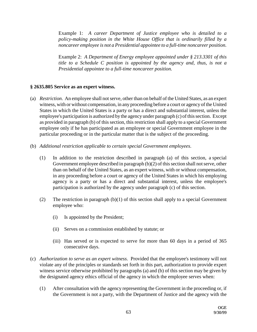Example 1: *A career Department of Justice employee who is detailed to a policy-making position in the White House Office that is ordinarily filled by a noncareer employee is not a Presidential appointee to a full-time noncareer position.*

Example 2: *A Department of Energy employee appointed under § 213.3301 of this title to a Schedule C position is appointed by the agency and, thus, is not a Presidential appointee to a full-time noncareer position.* 

## **§ 2635.805 Service as an expert witness.**

- (a) *Restriction*. An employee shall not serve, other than on behalf of the United States, as an expert witness, with or without compensation, in any proceeding before a court or agency of the United States in which the United States is a party or has a direct and substantial interest, unless the employee's participation is authorized by the agency under paragraph (c) of this section. Except as provided in paragraph (b) of this section, this restriction shall apply to a special Government employee only if he has participated as an employee or special Government employee in the particular proceeding or in the particular matter that is the subject of the proceeding.
- (b) *Additional restriction applicable to certain special Government employees*.
	- (1) In addition to the restriction described in paragraph (a) of this section, a special Government employee described in paragraph (b)(2) of this section shall not serve, other than on behalf of the United States, as an expert witness, with or without compensation, in any proceeding before a court or agency of the United States in which his employing agency is a party or has a direct and substantial interest, unless the employee's participation is authorized by the agency under paragraph (c) of this section.
	- (2) The restriction in paragraph (b)(1) of this section shall apply to a special Government employee who:
		- (i) Is appointed by the President;
		- (ii) Serves on a commission established by statute; or
		- (iii) Has served or is expected to serve for more than 60 days in a period of 365 consecutive days.
- (c) *Authorization to serve as an expert witness*. Provided that the employee's testimony will not violate any of the principles or standards set forth in this part, authorization to provide expert witness service otherwise prohibited by paragraphs (a) and (b) of this section may be given by the designated agency ethics official of the agency in which the employee serves when:
	- (1) After consultation with the agency representing the Government in the proceeding or, if the Government is not a party, with the Department of Justice and the agency with the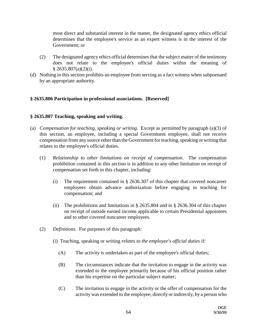most direct and substantial interest in the matter, the designated agency ethics official determines that the employee's service as an expert witness is in the interest of the Government; or

- (2) The designated agency ethics official determines that the subject matter of the testimony does not relate to the employee's official duties within the meaning of  $§$  2635.807(a)(2)(i).
- (d) Nothing in this section prohibits an employee from serving as a fact witness when subpoenaed by an appropriate authority.

## **§ 2635.806 Participation in professional associations. [Reserved]**

## **§ 2635.807 Teaching, speaking and writing.**

- (a) *Compensation for teaching, speaking or writing*. Except as permitted by paragraph (a)(3) of this section, an employee, including a special Government employee, shall not receive compensation from any source other than the Government for teaching, speaking or writing that relates to the employee's official duties.
	- (1) *Relationship to other limitations on receipt of compensation*. The compensation prohibition contained in this section is in addition to any other limitation on receipt of compensation set forth in this chapter, including:
		- (i) The requirement contained in § 2636.307 of this chapter that covered noncareer employees obtain advance authorization before engaging in teaching for compensation; and
		- (ii) The prohibitions and limitations in  $\S$  2635.804 and in  $\S$  2636.304 of this chapter on receipt of outside earned income applicable to certain Presidential appointees and to other covered noncareer employees.
	- (2) *Definitions*. For purposes of this paragraph:
		- (i) Teaching, speaking or writing *relates to the employee's official duties* if:
			- (A) The activity is undertaken as part of the employee's official duties;
			- (B) The circumstances indicate that the invitation to engage in the activity was extended to the employee primarily because of his official position rather than his expertise on the particular subject matter;
			- (C) The invitation to engage in the activity or the offer of compensation for the activity was extended to the employee, directly or indirectly, by a person who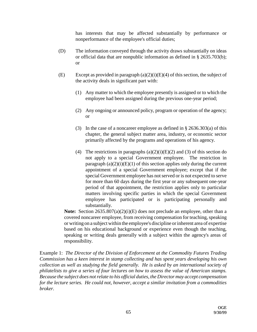has interests that may be affected substantially by performance or nonperformance of the employee's official duties;

- (D) The information conveyed through the activity draws substantially on ideas or official data that are nonpublic information as defined in § 2635.703(b); or
- (E) Except as provided in paragraph  $(a)(2)(i)(E)(4)$  of this section, the subject of the activity deals in significant part with:
	- (1) Any matter to which the employee presently is assigned or to which the employee had been assigned during the previous one-year period;
	- (2) Any ongoing or announced policy, program or operation of the agency; or
	- (3) In the case of a noncareer employee as defined in § 2636.303(a) of this chapter, the general subject matter area, industry, or economic sector primarily affected by the programs and operations of his agency.
	- (4) The restrictions in paragraphs  $(a)(2)(i)(E)(2)$  and (3) of this section do not apply to a special Government employee. The restriction in paragraph  $(a)(2)(i)(E)(1)$  of this section applies only during the current appointment of a special Government employee; except that if the special Government employee has not served or is not expected to serve for more than 60 days during the first year or any subsequent one-year period of that appointment, the restriction applies only to particular matters involving specific parties in which the special Government employee has participated or is participating personally and substantially.

**Note:** Section 2635.807(a)(2)(i)(E) does not preclude an employee, other than a covered noncareer employee, from receiving compensation for teaching, speaking or writing on a subject within the employee's discipline or inherent area of expertise based on his educational background or experience even though the teaching, speaking or writing deals generally with a subject within the agency's areas of responsibility.

Example 1: *The Director of the Division of Enforcement at the Commodity Futures Trading Commission has a keen interest in stamp collecting and has spent years developing his own collection as well as studying the field generally. He is asked by an international society of philatelists to give a series of four lectures on how to assess the value of American stamps. Because the subject does not relate to his official duties, the Director may accept compensation for the lecture series. He could not, however, accept a similar invitation from a commodities broker.*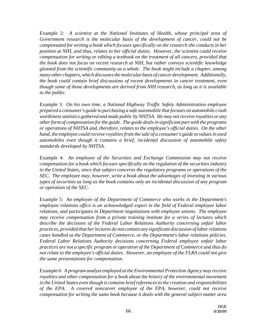Example 2: *A scientist at the National Institutes of Health, whose principal area of Government research is the molecular basis of the development of cancer, could not be compensated for writing a book which focuses specifically on the research she conducts in her position at NIH, and thus, relates to her official duties. However, the scientist could receive compensation for writing or editing a textbook on the treatment of all cancers, provided that the book does not focus on recent research at NIH, but rather conveys scientific knowledge gleaned from the scientific community as a whole. The book might include a chapter, among many other chapters, which discusses the molecular basis of cancer development. Additionally, the book could contain brief discussions of recent developments in cancer treatment, even though some of those developments are derived from NIH research, as long as it is available to the public.* 

Example 3: *On his own time, a National Highway Traffic Safety Administration employee prepared a consumer's guide to purchasing a safe automobile that focuses on automobile crash worthiness statistics gathered and made public by NHTSA. He may not receive royalties or any other form of compensation for the guide. The guide deals in significant part with the programs or operations of NHTSA and, therefore, relates to the employee's official duties. On the other hand, the employee could receive royalties from the sale of a consumer's guide to values in used automobiles even though it contains a brief, incidental discussion of automobile safety standards developed by NHTSA.* 

Example 4: *An employee of the Securities and Exchange Commission may not receive compensation for a book which focuses specifically on the regulation of the securities industry in the United States, since that subject concerns the regulatory programs or operations of the SEC. The employee may, however, write a book about the advantages of investing in various types of securities as long as the book contains only an incidental discussion of any program or operation of the SEC.* 

Example 5: *An employee of the Department of Commerce who works in the Department's employee relations office is an acknowledged expert in the field of Federal employee labor relations, and participates in Department negotiations with employee unions. The employee may receive compensation from a private training institute for a series of lectures which describe the decisions of the Federal Labor Relations Authority concerning unfair labor practices, provided that her lectures do not contain any significant discussion of labor relations cases handled at the Department of Commerce, or the Department's labor relations policies. Federal Labor Relations Authority decisions concerning Federal employee unfair labor practices are not a specific program or operation of the Department of Commerce and thus do not relate to the employee's official duties. However, an employee of the FLRA could not give the same presentations for compensation.* 

Example 6: *A program analyst employed at the Environmental Protection Agency may receive royalties and other compensation for a book about the history of the environmental movement in the United States even though it contains brief references to the creation and responsibilities of the EPA. A covered noncareer employee of the EPA, however, could not receive compensation for writing the same book because it deals with the general subject matter area*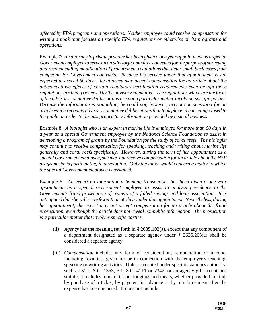*affected by EPA programs and operations. Neither employee could receive compensation for writing a book that focuses on specific EPA regulations or otherwise on its programs and operations.* 

Example 7: *An attorney in private practice has been given a one year appointment as a special Government employee to serve on an advisory committee convened for the purpose of surveying and recommending modification of procurement regulations that deter small businesses from competing for Government contracts. Because his service under that appointment is not expected to exceed 60 days, the attorney may accept compensation for an article about the anticompetitive effects of certain regulatory certification requirements even though those regulations are being reviewed by the advisory committee. The regulations which are the focus of the advisory committee deliberations are not a particular matter involving specific parties. Because the information is nonpublic, he could not, however, accept compensation for an article which recounts advisory committee deliberations that took place in a meeting closed to the public in order to discuss proprietary information provided by a small business.* 

Example 8: *A biologist who is an expert in marine life is employed for more than 60 days in a year as a special Government employee by the National Science Foundation to assist in developing a program of grants by the Foundation for the study of coral reefs. The biologist may continue to receive compensation for speaking, teaching and writing about marine life generally and coral reefs specifically. However, during the term of her appointment as a special Government employee, she may not receive compensation for an article about the NSF program she is participating in developing. Only the latter would concern a matter to which the special Government employee is assigned.* 

Example 9: *An expert on international banking transactions has been given a one-year appointment as a special Government employee to assist in analyzing evidence in the Government's fraud prosecution of owners of a failed savings and loan association. It is anticipated that she will serve fewer than 60 days under that appointment. Nevertheless, during her appointment, the expert may not accept compensation for an article about the fraud prosecution, even though the article does not reveal nonpublic information. The prosecution is a particular matter that involves specific parties.* 

- (ii) *Agency* has the meaning set forth in § 2635.102(a), except that any component of a department designated as a separate agency under § 2635.203(a) shall be considered a separate agency.
- (iii) *Compensation* includes any form of consideration, remuneration or income, including royalties, given for or in connection with the employee's teaching, speaking or writing activities. Unless accepted under specific statutory authority, such as 31 U.S.C. 1353, 5 U.S.C. 4111 or 7342, or an agency gift acceptance statute, it includes transportation, lodgings and meals, whether provided in kind, by purchase of a ticket, by payment in advance or by reimbursement after the expense has been incurred. It does not include: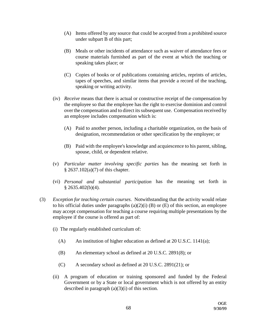- (A) Items offered by any source that could be accepted from a prohibited source under subpart B of this part;
- (B) Meals or other incidents of attendance such as waiver of attendance fees or course materials furnished as part of the event at which the teaching or speaking takes place; or
- (C) Copies of books or of publications containing articles, reprints of articles, tapes of speeches, and similar items that provide a record of the teaching, speaking or writing activity.
- (iv) *Receive* means that there is actual or constructive receipt of the compensation by the employee so that the employee has the right to exercise dominion and control over the compensation and to direct its subsequent use. Compensation received by an employee includes compensation which is:
	- (A) Paid to another person, including a charitable organization, on the basis of designation, recommendation or other specification by the employee; or
	- (B) Paid with the employee's knowledge and acquiescence to his parent, sibling, spouse, child, or dependent relative.
- (v) *Particular matter involving specific parties* has the meaning set forth in § 2637.102(a)(7) of this chapter.
- (vi) *Personal and substantial participation* has the meaning set forth in  $§$  2635.402(b)(4).
- (3) *Exception for teaching certain courses*. Notwithstanding that the activity would relate to his official duties under paragraphs  $(a)(2)(i)$  (B) or (E) of this section, an employee may accept compensation for teaching a course requiring multiple presentations by the employee if the course is offered as part of:
	- (i) The regularly established curriculum of:
		- (A) An institution of higher education as defined at 20 U.S.C. 1141(a);
		- (B) An elementary school as defined at 20 U.S.C. 2891(8); or
		- (C) A secondary school as defined at 20 U.S.C. 2891(21); or
	- (ii) A program of education or training sponsored and funded by the Federal Government or by a State or local government which is not offered by an entity described in paragraph  $(a)(3)(i)$  of this section.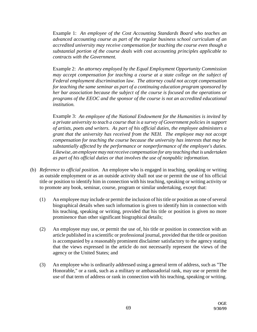Example 1: *An employee of the Cost Accounting Standards Board who teaches an advanced accounting course as part of the regular business school curriculum of an accredited university may receive compensation for teaching the course even though a substantial portion of the course deals with cost accounting principles applicable to contracts with the Government.*

Example 2: *An attorney employed by the Equal Employment Opportunity Commission may accept compensation for teaching a course at a state college on the subject of Federal employment discrimination law. The attorney could not accept compensation for teaching the same seminar as part of a continuing education program sponsored by her bar association because the subject of the course is focused on the operations or programs of the EEOC and the sponsor of the course is not an accredited educational institution.* 

Example 3: *An employee of the National Endowment for the Humanities is invited by a private university to teach a course that is a survey of Government policies in support of artists, poets and writers. As part of his official duties, the employee administers a grant that the university has received from the NEH. The employee may not accept compensation for teaching the course because the university has interests that may be substantially affected by the performance or nonperformance of the employee's duties. Likewise, an employee may not receive compensation for any teaching that is undertaken as part of his official duties or that involves the use of nonpublic information*.

- (b) *Reference to official position*. An employee who is engaged in teaching, speaking or writing as outside employment or as an outside activity shall not use or permit the use of his official title or position to identify him in connection with his teaching, speaking or writing activity or to promote any book, seminar, course, program or similar undertaking, except that:
	- (1) An employee may include or permit the inclusion of his title or position as one of several biographical details when such information is given to identify him in connection with his teaching, speaking or writing, provided that his title or position is given no more prominence than other significant biographical details;
	- (2) An employee may use, or permit the use of, his title or position in connection with an article published in a scientific or professional journal, provided that the title or position is accompanied by a reasonably prominent disclaimer satisfactory to the agency stating that the views expressed in the article do not necessarily represent the views of the agency or the United States; and
	- (3) An employee who is ordinarily addressed using a general term of address, such as "The Honorable," or a rank, such as a military or ambassadorial rank, may use or permit the use of that term of address or rank in connection with his teaching, speaking or writing.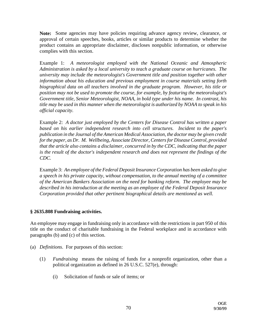**Note:** Some agencies may have policies requiring advance agency review, clearance, or approval of certain speeches, books, articles or similar products to determine whether the product contains an appropriate disclaimer, discloses nonpublic information, or otherwise complies with this section.

Example 1: *A meteorologist employed with the National Oceanic and Atmospheric Administration is asked by a local university to teach a graduate course on hurricanes. The university may include the meteorologist's Government title and position together with other information about his education and previous employment in course materials setting forth biographical data on all teachers involved in the graduate program. However, his title or position may not be used to promote the course, for example, by featuring the meteorologist's Government title, Senior Meteorologist, NOAA, in bold type under his name. In contrast, his title may be used in this manner when the meteorologist is authorized by NOAA to speak in his official capacity.* 

Example 2: *A doctor just employed by the Centers for Disease Control has written a paper based on his earlier independent research into cell structures. Incident to the paper's publication in the Journal of the American Medical Association, the doctor may be given credit for the paper, as Dr. M. Wellbeing, Associate Director, Centers for Disease Control, provided that the article also contains a disclaimer, concurred in by the CDC, indicating that the paper is the result of the doctor's independent research and does not represent the findings of the CDC.* 

Example 3: *An employee of the Federal Deposit Insurance Corporation has been asked to give a speech in his private capacity, without compensation, to the annual meeting of a committee of the American Bankers Association on the need for banking reform. The employee may be described in his introduction at the meeting as an employee of the Federal Deposit Insurance Corporation provided that other pertinent biographical details are mentioned as well.* 

# **§ 2635.808 Fundraising activities.**

An employee may engage in fundraising only in accordance with the restrictions in part 950 of this title on the conduct of charitable fundraising in the Federal workplace and in accordance with paragraphs (b) and (c) of this section.

- (a) *Definitions*. For purposes of this section:
	- (1) *Fundraising* means the raising of funds for a nonprofit organization, other than a political organization as defined in 26 U.S.C. 527(e), through:
		- (i) Solicitation of funds or sale of items; or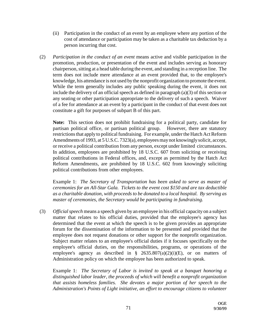- (ii) Participation in the conduct of an event by an employee where any portion of the cost of attendance or participation may be taken as a charitable tax deduction by a person incurring that cost.
- (2) *Participation in the conduct of an event* means active and visible participation in the promotion, production, or presentation of the event and includes serving as honorary chairperson, sitting at a head table during the event, and standing in a reception line. The term does not include mere attendance at an event provided that, to the employee's knowledge, his attendance is not used by the nonprofit organization to promote the event. While the term generally includes any public speaking during the event, it does not include the delivery of an official speech as defined in paragraph (a)(3) of this section or any seating or other participation appropriate to the delivery of such a speech. Waiver of a fee for attendance at an event by a participant in the conduct of that event does not constitute a gift for purposes of subpart B of this part.

**Note:** This section does not prohibit fundraising for a political party, candidate for partisan political office, or partisan political group. However, there are statutory restrictions that apply to political fundraising. For example, under the Hatch Act Reform Amendments of 1993, at 5 U.S.C. 7323(a), employees may not knowingly solicit, accept, or receive a political contribution from any person, except under limited circumstances. In addition, employees are prohibited by 18 U.S.C. 607 from soliciting or receiving political contributions in Federal offices, and, except as permitted by the Hatch Act Reform Amendments, are prohibited by 18 U.S.C. 602 from knowingly soliciting political contributions from other employees.

Example 1: *The Secretary of Transportation has been asked to serve as master of ceremonies for an All-Star Gala. Tickets to the event cost \$150 and are tax deductible as a charitable donation, with proceeds to be donated to a local hospital. By serving as master of ceremonies, the Secretary would be participating in fundraising.* 

(3) *Official speech* means a speech given by an employee in his official capacity on a subject matter that relates to his official duties, provided that the employee's agency has determined that the event at which the speech is to be given provides an appropriate forum for the dissemination of the information to be presented and provided that the employee does not request donations or other support for the nonprofit organization. Subject matter relates to an employee's official duties if it focuses specifically on the employee's official duties, on the responsibilities, programs, or operations of the employee's agency as described in  $\S$  2635.807(a)(2)(i)(E), or on matters of Administration policy on which the employee has been authorized to speak.

Example 1: *The Secretary of Labor is invited to speak at a banquet honoring a distinguished labor leader, the proceeds of which will benefit a nonprofit organization that assists homeless families. She devotes a major portion of her speech to the Administration's Points of Light initiative, an effort to encourage citizens to volunteer*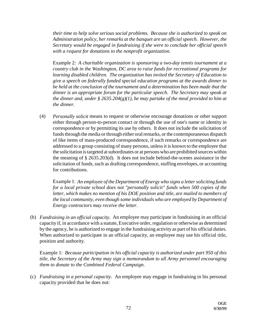*their time to help solve serious social problems. Because she is authorized to speak on Administration policy, her remarks at the banquet are an official speech. However, the Secretary would be engaged in fundraising if she were to conclude her official speech with a request for donations to the nonprofit organization.* 

Example 2: *A charitable organization is sponsoring a two-day tennis tournament at a country club in the Washington, DC area to raise funds for recreational programs for learning disabled children. The organization has invited the Secretary of Education to give a speech on federally funded special education programs at the awards dinner to be held at the conclusion of the tournament and a determination has been made that the dinner is an appropriate forum for the particular speech. The Secretary may speak at the dinner and, under § 2635.204(g)(1), he may partake of the meal provided to him at the dinner.* 

(4) *Personally solicit* means to request or otherwise encourage donations or other support either through person-to-person contact or through the use of one's name or identity in correspondence or by permitting its use by others. It does not include the solicitation of funds through the media or through either oral remarks, or the contemporaneous dispatch of like items of mass-produced correspondence, if such remarks or correspondence are addressed to a group consisting of many persons, unless it is known to the employee that the solicitation is targeted at subordinates or at persons who are prohibited sources within the meaning of § 2635.203(d). It does not include behind-the-scenes assistance in the solicitation of funds, such as drafting correspondence, stuffing envelopes, or accounting for contributions.

Example 1: *An employee of the Department of Energy who signs a letter soliciting funds for a local private school does not "personally solicit" funds when 500 copies of the letter, which makes no mention of his DOE position and title, are mailed to members of the local community, even though some individuals who are employed by Department of Energy contractors may receive the letter.* 

(b) *Fundraising in an official capacity*. An employee may participate in fundraising in an official capacity if, in accordance with a statute, Executive order, regulation or otherwise as determined by the agency, he is authorized to engage in the fundraising activity as part of his official duties. When authorized to participate in an official capacity, an employee may use his official title, position and authority.

Example 1: *Because participation in his official capacity is authorized under part 950 of this title, the Secretary of the Army may sign a memorandum to all Army personnel encouraging them to donate to the Combined Federal Campaign.* 

(c) *Fundraising in a personal capacity*. An employee may engage in fundraising in his personal capacity provided that he does not: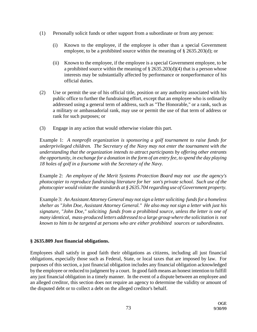- (1) Personally solicit funds or other support from a subordinate or from any person:
	- (i) Known to the employee, if the employee is other than a special Government employee, to be a prohibited source within the meaning of § 2635.203(d); or
	- (ii) Known to the employee, if the employee is a special Government employee, to be a prohibited source within the meaning of  $\S 2635.203(d)(4)$  that is a person whose interests may be substantially affected by performance or nonperformance of his official duties.
- (2) Use or permit the use of his official title, position or any authority associated with his public office to further the fundraising effort, except that an employee who is ordinarily addressed using a general term of address, such as "The Honorable," or a rank, such as a military or ambassadorial rank, may use or permit the use of that term of address or rank for such purposes; or
- (3) Engage in any action that would otherwise violate this part.

Example 1: *A nonprofit organization is sponsoring a golf tournament to raise funds for underprivileged children. The Secretary of the Navy may not enter the tournament with the understanding that the organization intends to attract participants by offering other entrants the opportunity, in exchange for a donation in the form of an entry fee, to spend the day playing 18 holes of golf in a foursome with the Secretary of the Navy.* 

Example 2: *An employee of the Merit Systems Protection Board may not use the agency's photocopier to reproduce fundraising literature for her son's private school. Such use of the photocopier would violate the standards at § 2635.704 regarding use of Government property.*

Example 3: *An Assistant Attorney General may not sign a letter soliciting funds for a homeless shelter as "John Doe, Assistant Attorney General." He also may not sign a letter with just his signature, "John Doe," soliciting funds from a prohibited source, unless the letter is one of many identical, mass-produced letters addressed to a large group where the solicitation is not known to him to be targeted at persons who are either prohibited sources or subordinates.* 

# **§ 2635.809 Just financial obligations.**

Employees shall satisfy in good faith their obligations as citizens, including all just financial obligations, especially those such as Federal, State, or local taxes that are imposed by law. For purposes of this section, a just financial obligation includes any financial obligation acknowledged by the employee or reduced to judgment by a court. In good faith means an honest intention to fulfill any just financial obligation in a timely manner. In the event of a dispute between an employee and an alleged creditor, this section does not require an agency to determine the validity or amount of the disputed debt or to collect a debt on the alleged creditor's behalf.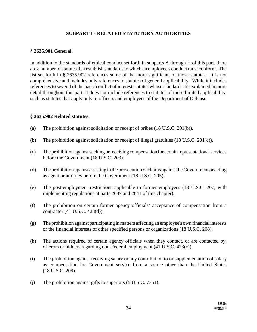## **SUBPART I - RELATED STATUTORY AUTHORITIES**

### **§ 2635.901 General.**

In addition to the standards of ethical conduct set forth in subparts A through H of this part, there are a number of statutes that establish standards to which an employee's conduct must conform. The list set forth in § 2635.902 references some of the more significant of those statutes. It is not comprehensive and includes only references to statutes of general applicability. While it includes references to several of the basic conflict of interest statutes whose standards are explained in more detail throughout this part, it does not include references to statutes of more limited applicability, such as statutes that apply only to officers and employees of the Department of Defense.

#### **§ 2635.902 Related statutes.**

- (a) The prohibition against solicitation or receipt of bribes (18 U.S.C. 201(b)).
- (b) The prohibition against solicitation or receipt of illegal gratuities (18 U.S.C. 201(c)).
- (c) The prohibition against seeking or receiving compensation for certain representational services before the Government (18 U.S.C. 203).
- (d) The prohibition against assisting in the prosecution of claims against the Government or acting as agent or attorney before the Government (18 U.S.C. 205).
- (e) The post-employment restrictions applicable to former employees (18 U.S.C. 207, with implementing regulations at parts 2637 and 2641 of this chapter).
- (f) The prohibition on certain former agency officials' acceptance of compensation from a contractor (41 U.S.C. 423(d)).
- (g) The prohibition against participating in matters affecting an employee's own financial interests or the financial interests of other specified persons or organizations (18 U.S.C. 208).
- (h) The actions required of certain agency officials when they contact, or are contacted by, offerors or bidders regarding non-Federal employment (41 U.S.C. 423(c)).
- (i) The prohibition against receiving salary or any contribution to or supplementation of salary as compensation for Government service from a source other than the United States (18 U.S.C. 209).
- (j) The prohibition against gifts to superiors (5 U.S.C. 7351).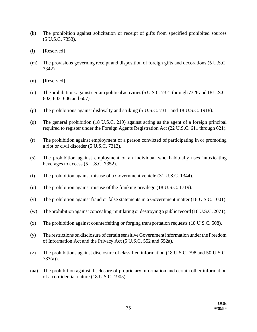- (k) The prohibition against solicitation or receipt of gifts from specified prohibited sources (5 U.S.C. 7353).
- (l) [Reserved]
- (m) The provisions governing receipt and disposition of foreign gifts and decorations (5 U.S.C. 7342).
- (n) [Reserved]
- (o) The prohibitions against certain political activities (5 U.S.C. 7321 through 7326 and 18 U.S.C. 602, 603, 606 and 607).
- (p) The prohibitions against disloyalty and striking (5 U.S.C. 7311 and 18 U.S.C. 1918).
- (q) The general prohibition (18 U.S.C. 219) against acting as the agent of a foreign principal required to register under the Foreign Agents Registration Act (22 U.S.C. 611 through 621).
- (r) The prohibition against employment of a person convicted of participating in or promoting a riot or civil disorder (5 U.S.C. 7313).
- (s) The prohibition against employment of an individual who habitually uses intoxicating beverages to excess (5 U.S.C. 7352).
- (t) The prohibition against misuse of a Government vehicle (31 U.S.C. 1344).
- (u) The prohibition against misuse of the franking privilege (18 U.S.C. 1719).
- (v) The prohibition against fraud or false statements in a Government matter (18 U.S.C. 1001).
- (w) The prohibition against concealing, mutilating or destroying a public record (18 U.S.C. 2071).
- (x) The prohibition against counterfeiting or forging transportation requests (18 U.S.C. 508).
- (y) The restrictions on disclosure of certain sensitive Government information under the Freedom of Information Act and the Privacy Act (5 U.S.C. 552 and 552a).
- (z) The prohibitions against disclosure of classified information (18 U.S.C. 798 and 50 U.S.C. 783(a)).
- (aa) The prohibition against disclosure of proprietary information and certain other information of a confidential nature (18 U.S.C. 1905).